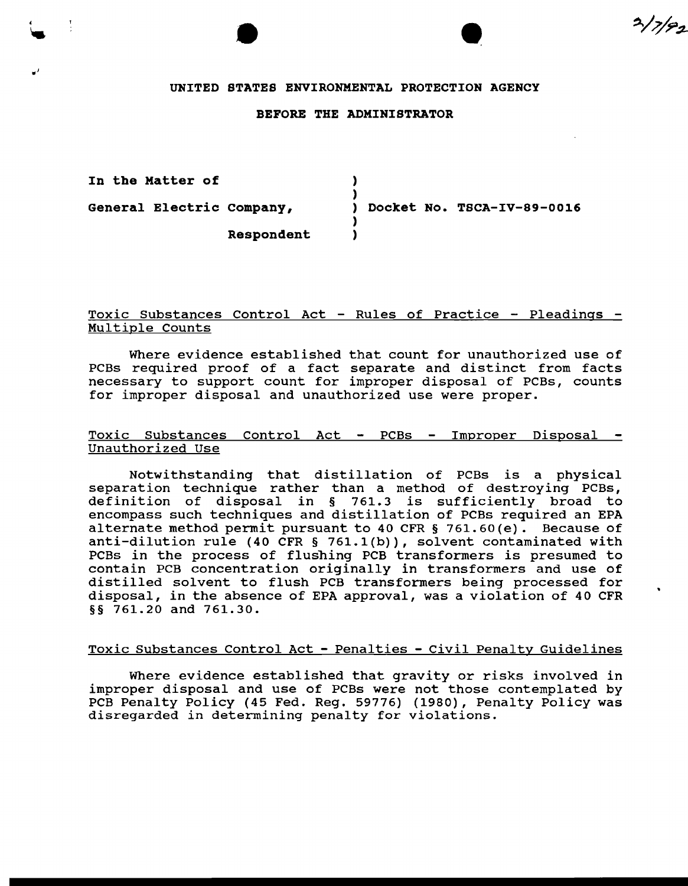#### UNITED STATES ENVIRONMENTAL PROTECTION AGENCY

•

 $2/7/92$ 

#### BEFORE THE ADMINISTRATOR

| In the Matter of          |                            |
|---------------------------|----------------------------|
|                           |                            |
| General Electric Company, | Docket No. TSCA-IV-89-0016 |
|                           |                            |
| Respondent                |                            |

# Toxic Substances Control Act - Rules of Practice - Pleadings - Multiple Counts

Where evidence established that count for unauthorized use of PCBs required proof of a fact separate and distinct from facts necessary to support count for improper disposal of PCBs, counts for improper disposal and unauthorized use were proper.

### Toxic Substances Control Act - PCBs - Improper Disposal -Unauthorized Use

Notwithstanding that distillation of PCBs is a physical separation technique rather than a method of destroying PCBs, definition of disposal in § 761.3 is sufficiently broad to encompass such techniques and distillation of PCBs required an EPA alternate method permit pursuant to 40 CFR § 761.60 (e). Because of anti-dilution rule (40 CFR § 761.1(b)), solvent contaminated with PCBs in the process of flushing PCB transformers is presumed to contain PCB concentration originally in transformers and use of distilled solvent to flush PCB transformers being processed for disposal, in the absence of EPA approval, was a violation of 40 CFR §§ 761.20 and 761.30.

## Toxic Substances Control Act - Penalties - Civil Penalty Guidelines

Where evidence established that gravity or risks involved in improper disposal and use of PCBs were not those contemplated by PCB Penalty Policy (45 Fed. Reg. 59776) (1980), Penalty Policy was disregarded in determining penalty for violations.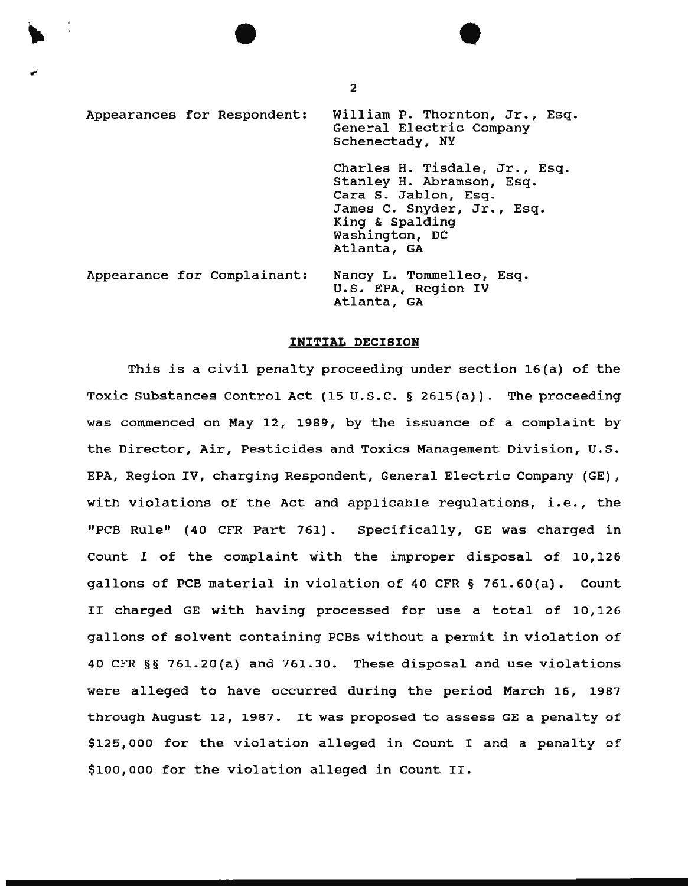Appearances for Respondent: Appearance for Complainant: William P. Thornton, Jr., Esq. General Electric Company Schenectady, NY Charles H. Tisdale, Jr., Esq. Stanley H. Abramson, Esq. Cara s. Jablon, Esq. James c. snyder, Jr., Esq. King & Spalding Washington, DC Atlanta, GA Nancy L. Tommelleo, Esq. U.S. EPA, Region IV Atlanta, GA

#### INITIAL DECISION

This is a civil penalty proceeding under section 16(a) of the Toxic Substances Control Act (15 U.S.C. § 2615(a)). The proceeding was commenced on May 12, 1989, by the issuance of a complaint by the Director, Air, Pesticides and Taxies Management Division, u.s. EPA, Region IV, charging Respondent, General Electric Company (GE), with violations of the Act and applicable regulations, i.e., the "PCB Rule" ( 40 CFR Part 761) . Specifically, GE was charged in Count I of the complaint with the improper disposal of 10,126 gallons of PCB material in violation of 40 CFR § 761.60(a). Count II charged GE with having processed for use a total of 10,126 gallons of solvent containing PCBs without a permit in violation of 40 CFR §§ 761.20(a) and 761.30. These disposal and use violations were alleged to have occurred during the period March 16, 1987 through August 12, 1987. It was proposed to assess GE a penalty of \$125,000 for the violation alleged in Count I and a penalty of \$100,000 for the violation alleged in Count II.

2

•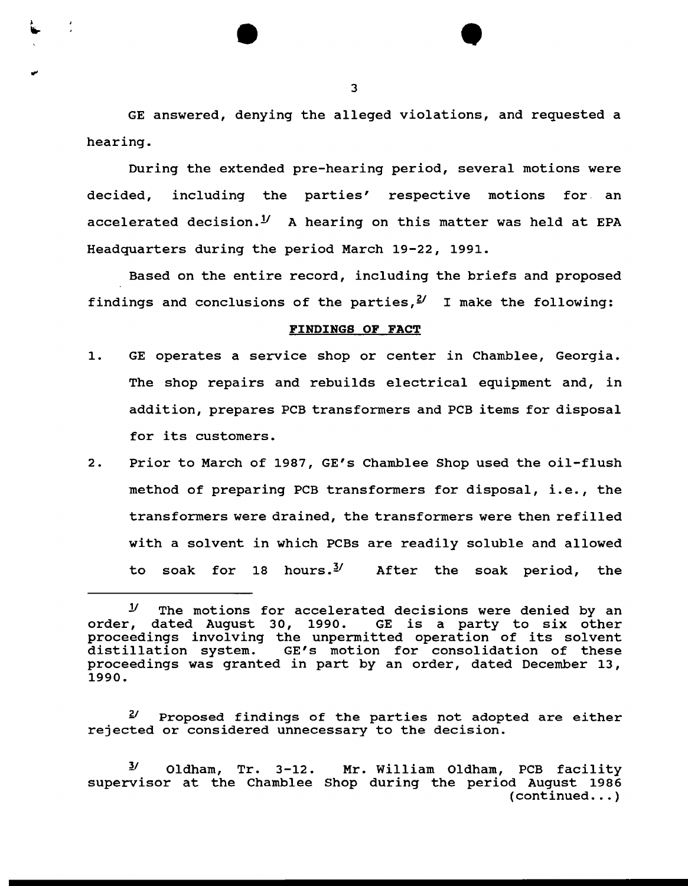GE answered, denying the alleged violations, and requested a hearing.

During the extended pre-hearing period, several motions were decided, including the parties' respective motions for. an accelerated decision.<sup>1</sup>/ A hearing on this matter was held at EPA Headquarters during the period March 19-22, 1991.

Based on the entire record, including the briefs and proposed findings and conclusions of the parties,  $\frac{y}{x}$  I make the following:

## FINDINGS OF FACT

- 1. GE operates a service shop or center in Chamblee, Georgia. The shop repairs and rebuilds electrical equipment and, in addition, prepares PCB transformers and PCB items for disposal for its customers.
- 2. Prior to March of 1987, GE's Chamblee Shop used the oil-flush method of preparing PCB transformers for disposal, i.e., the transformers were drained, the transformers were then refilled with a solvent in which PCBs are readily soluble and allowed to soak for 18 hours.<sup>3</sup>/ After the soak period, the

•

*Y* The motions for accelerated decisions were denied by an order, dated August 30, 1990. GE is a party to six other proceedings involving the unpermitted operation of its solvent<br>distillation system. GE's motion for consolidation of these GE's motion for consolidation of these proceedings was granted in part by an order, dated December 13, 1990.

*Y* Proposed findings of the parties not adopted are either rejected or considered unnecessary to the decision.

 $\frac{3}{2}$  Oldham, Tr. 3-12. Mr. William Oldham, PCB facility supervisor at the Chamblee Shop during the period August 1986  $(continued... )$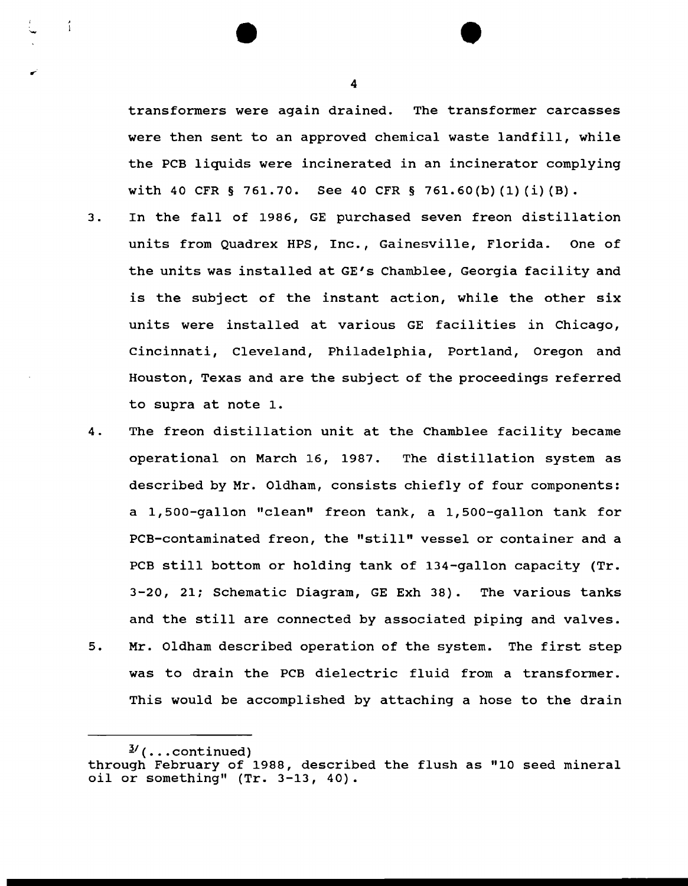transformers were again drained. The transformer carcasses were then sent to an approved chemical waste landfill, while the PCB liquids were incinerated in an incinerator complying with 40 CFR § 761.70. See 40 CFR § 761.60(b)(1)(i)(B).

•

- 3. In the fall of 1986, GE purchased seven freon distillation units from Quadrex HPS, Inc., Gainesville, Florida. One of the units was installed at GE's Chamblee, Georgia facility and is the subject of the instant action, while the other six units were installed at various GE facilities in Chicago, Cincinnati, Cleveland, Philadelphia, Portland, Oregon and Houston, Texas and are the subject of the proceedings referred to supra at note 1.
- 4. The freon distillation unit at the Chamblee facility became operational on March 16, 1987. The distillation system as described by Mr. Oldham, consists chiefly of four components: a 1, 500-gallon "clean" freon tank, a 1, 500-gallon tank for PCB-contaminated freon, the "still" vessel or container and a PCB still bottom or holding tank of 134-gallon capacity (Tr. 3-20, 21; Schematic Diagram, GE Exh 38). The various tanks and the still are connected by associated piping and valves.
- 5. Mr. Oldham described operation of the system. The first step was to drain the PCB dielectric fluid from a transformer. This would be accomplished by attaching a hose to the drain

4

÷

<sup>&</sup>quot;J./ ( ••• continued) through February of 1988, described the flush as "10 seed mineral oil or something" (Tr. 3-13, 40).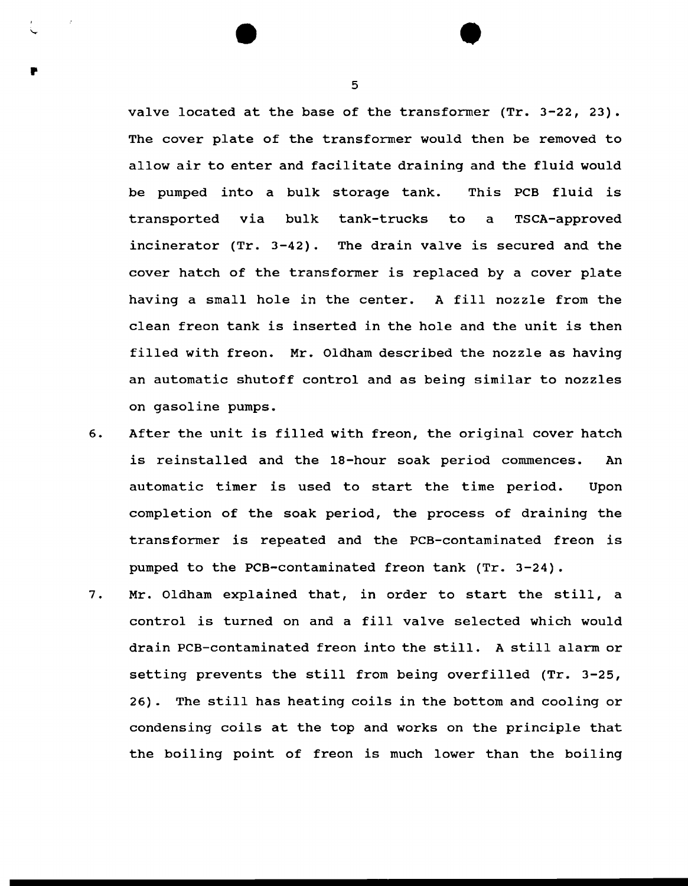valve located at the base of the transformer (Tr. 3-22, 23). The cover plate of the transformer would then be removed to allow air to enter and facilitate draining and the fluid would be pumped into a bulk storage tank. This PCB fluid is transported via bulk tank-trucks to a TSCA-approved incinerator (Tr. 3-42). The drain valve is secured and the cover hatch of the transformer is replaced by a cover plate having a small hole in the center. A fill nozzle from the clean freon tank is inserted in the hole and the unit is then filled with freon. Mr. Oldham described the nozzle as having an automatic shutoff control and as being similar to nozzles on gasoline pumps.

- 6. After the unit is filled with freon, the original cover hatch is reinstalled and the 18-hour soak period commences. An automatic timer is used to start the time period. Upon completion of the soak period, the process of draining the transformer is repeated and the PCB-contaminated freon is pumped to the PCB-contaminated freon tank (Tr. 3-24).
- 7. Mr. Oldham explained that, in order to start the still, a control is turned on and a fill valve selected which would drain PCB-contaminated freon into the still. A still alarm or setting prevents the still from being overfilled (Tr. 3-25, 26). The still has heating coils in the bottom and cooling or condensing coils at the top and works on the principle that the boiling point of freon is much lower than the boiling

5

•

•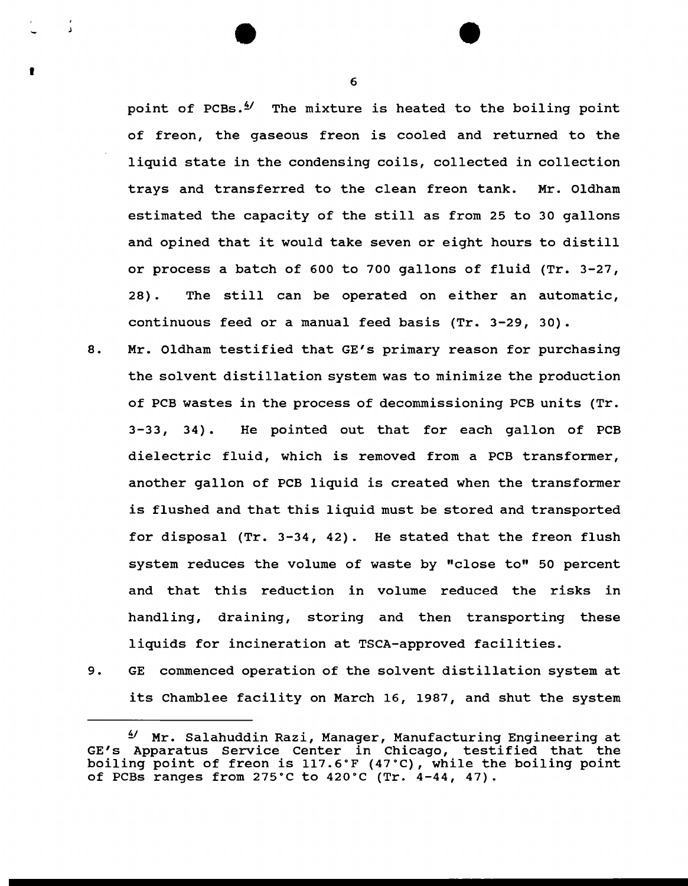point of PCBs. $^{4}$  The mixture is heated to the boiling point of freon, the gaseous freon is cooled and returned to the liquid state in the condensing coils, collected in collection trays and transferred to the clean freon tank. Mr. Oldham estimated the capacity of the still as from 25 to 30 gallons and opined that it would take seven or eight hours to distill or process a batch of 600 to 700 gallons of fluid (Tr. 3-27, 28). The still can be operated on either an automatic, continuous feed or a manual feed basis (Tr. 3-29, 30).

- 8. Mr. Oldham testified that GE's primary reason for purchasing the solvent distillation system was to minimize the production of PCB wastes in the process of decommissioning PCB units (Tr. 3-33, 34). He pointed out that for each gallon of PCB dielectric fluid, which is removed from a PCB transformer, another gallon of PCB liquid is created when the transformer is flushed and that this liquid must be stored and transported for disposal (Tr. 3-34, 42). He stated that the freon flush system reduces the volume of waste by "close to" 50 percent and that this reduction in volume reduced the risks in handling, draining, storing and then transporting these liquids for incineration at TSCA-approved facilities.
- 9. GE commenced operation of the solvent distillation system at its Chamblee facility on March 16, 1987, and shut the system

6

•

 $4'$  Mr. Salahuddin Razi, Manager, Manufacturing Engineering at GE's Apparatus Service Center in Chicago, testified that the boiling point of freon is 117.6°F (47°C), while the boiling point of PCBs ranges from 275°C to 420°C (Tr. 4-44, 47).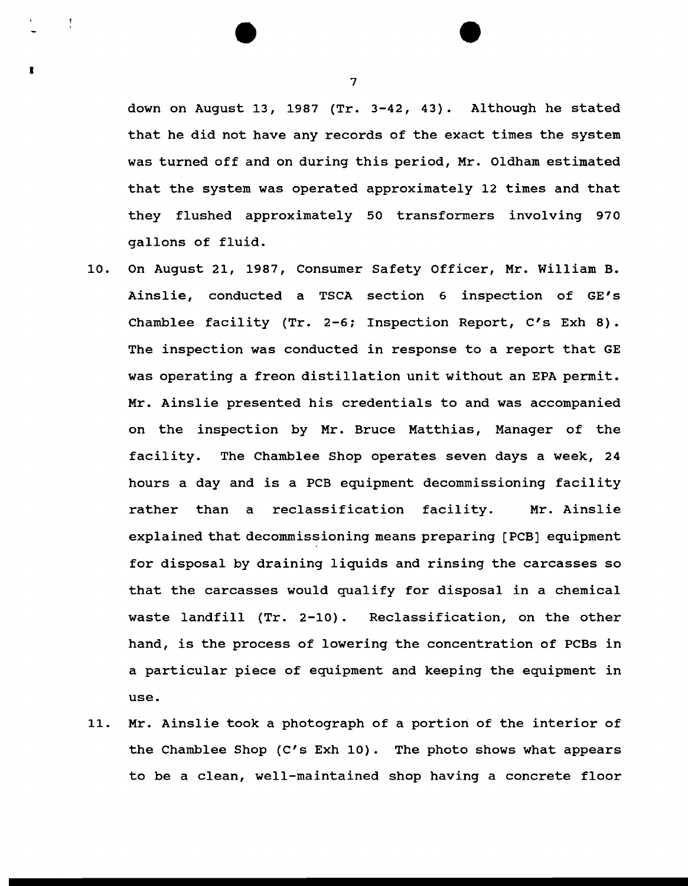down on August 13, 1987 (Tr. 3-42, 43). Although he stated that he did not have any records of the exact times the system was turned off and on during this period, Mr. Oldham estimated that the system was operated approximately 12 times and that they flushed approximately 50 transformers involving 970 gallons of fluid.

- 10. On August 21, 1987, Consumer Safety Officer, Mr. William B. Ainslie, conducted a TSCA section 6 inspection of GE's Chamblee facility (Tr. 2-6; Inspection Report, C's Exh 8). The inspection was conducted in response to a report that GE was operating a freon distillation unit without an EPA permit. Mr. Ainslie presented his credentials to and was accompanied on the inspection by Mr. Bruce Matthias, Manager of the facility. The Chamblee Shop operates seven days a week, 24 hours a day and is a PCB equipment decommissioning facility rather than a reclassification facility. Mr. Ainslie explained that decommissioning means preparing [PCB] equipment for disposal by draining liquids and rinsing the carcasses so that the carcasses would qualify for disposal in a chemical waste landfill (Tr. 2-10). Reclassification, on the other hand, is the process of lowering the concentration of PCBs in a particular piece of equipment and keeping the equipment in use.
- 11. Mr. Ainslie took a photograph of a portion of the interior of the Chamblee Shop (C's Exh 10). The photo shows what appears to be a clean, well-maintained shop having a concrete floor

7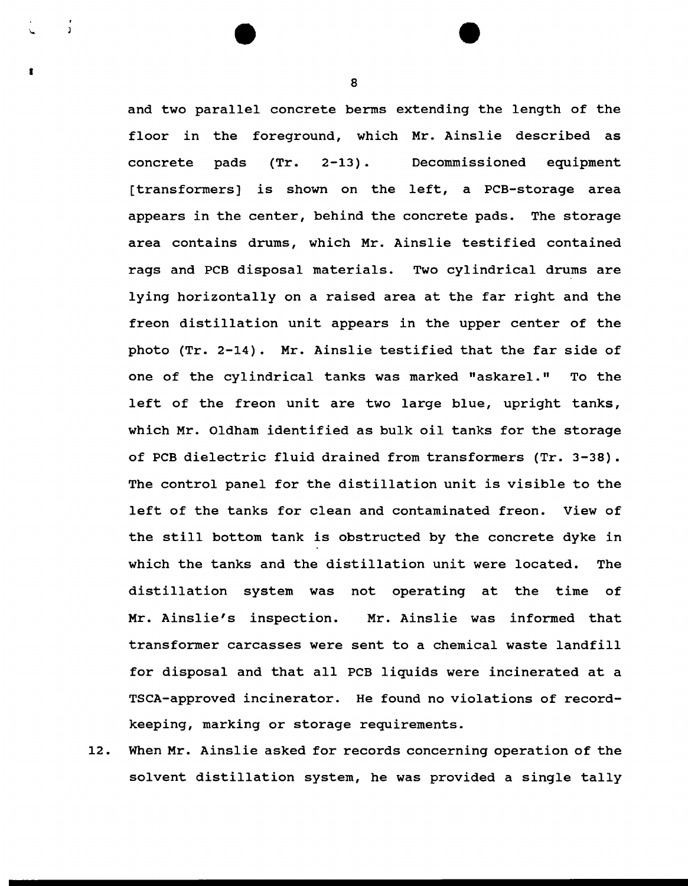and two parallel concrete berms extending the length of the floor in the foreground, which Mr. Ainslie described as concrete pads (Tr. 2-13) . Decommissioned equipment [transformers] is shown on the left, a PCB-storage area appears in the center, behind the concrete pads. The storage area contains drums, which Mr. Ainslie testified contained rags and PCB disposal materials. Two cylindrical drums are lying horizontally on a raised area at the far right and the freon distillation unit appears in the upper center of the photo (Tr. 2-14). Mr. Ainslie testified that the far side of one of the cylindrical tanks was marked "askarel." To the left of the freon unit are two large blue, upright tanks, which Mr. Oldham identified as bulk oil tanks for the storage of PCB dielectric fluid drained from transformers (Tr. 3-38). The control panel for the distillation unit is visible to the left of the tanks for clean and contaminated freon. View of the still bottom tank is obstructed by the concrete dyke in which the tanks and the distillation unit were located. The distillation system was not operating at the time of Mr. Ainslie's inspection. Mr. Ainslie was informed that transformer carcasses were sent to a chemical waste landfill for disposal and that all PCB liquids were incinerated at a TSCA-approved incinerator. He found no violations of recordkeeping, marking or storage requirements.

12. When Mr. Ainslie asked for records concerning operation of the solvent distillation system, he was provided a single tally

8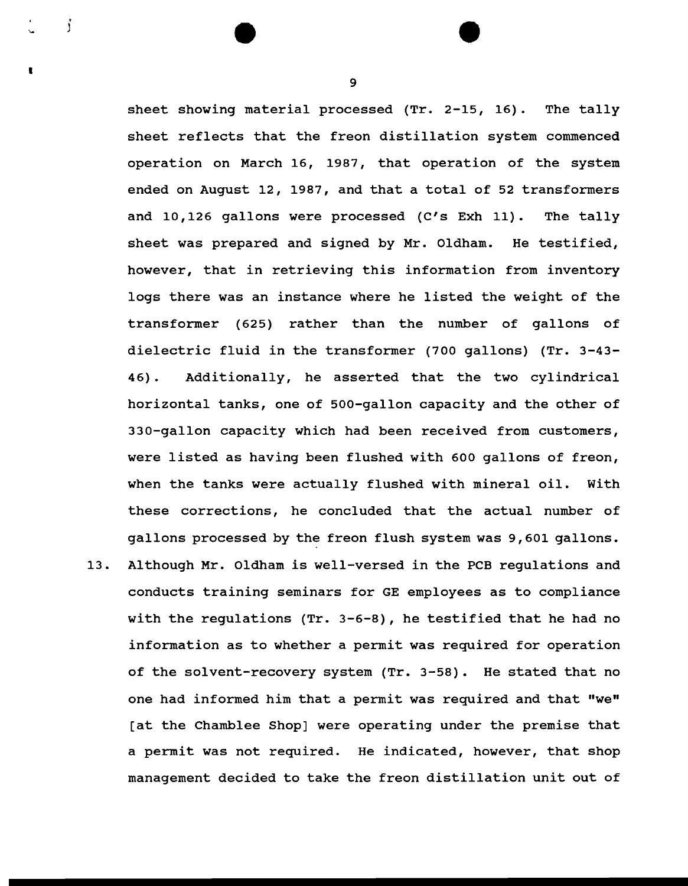sheet showing material processed (Tr. 2-15, 16). The tally sheet reflects that the freon distillation system commenced operation on March 16, 1987, that operation of the system ended on August 12, 1987, and that a total of 52 transformers and 10,126 gallons were processed (C's Exh 11). The tally sheet was prepared and signed by Mr. Oldham. He testified, however, that in retrieving this information from inventory logs there was an instance where he listed the weight of the transformer (625) rather than the number of gallons of dielectric fluid in the transformer (700 gallons) (Tr. 3-43- 46) . Additionally, he asserted that the two cylindrical horizontal tanks, one of 500-gallon capacity and the other of 330-gallon capacity which had been received from customers, were listed as having been flushed with 600 gallons of freon, when the tanks were actually flushed with mineral oil. With these corrections, he concluded that the actual number of gallons processed by the freon flush system was 9, 601 gallons. 13. Although Mr. Oldham is well-versed in the PCB regulations and

conducts training seminars for GE employees as to compliance with the regulations (Tr. 3-6-8), he testified that he had no information as to whether a permit was required for operation of the solvent-recovery system (Tr. 3-58). He stated that no one had informed him that a permit was required and that "we" [at the Chamblee Shop] were operating under the premise that a permit was not required. He indicated, however, that shop management decided to take the freon distillation unit out of

9

j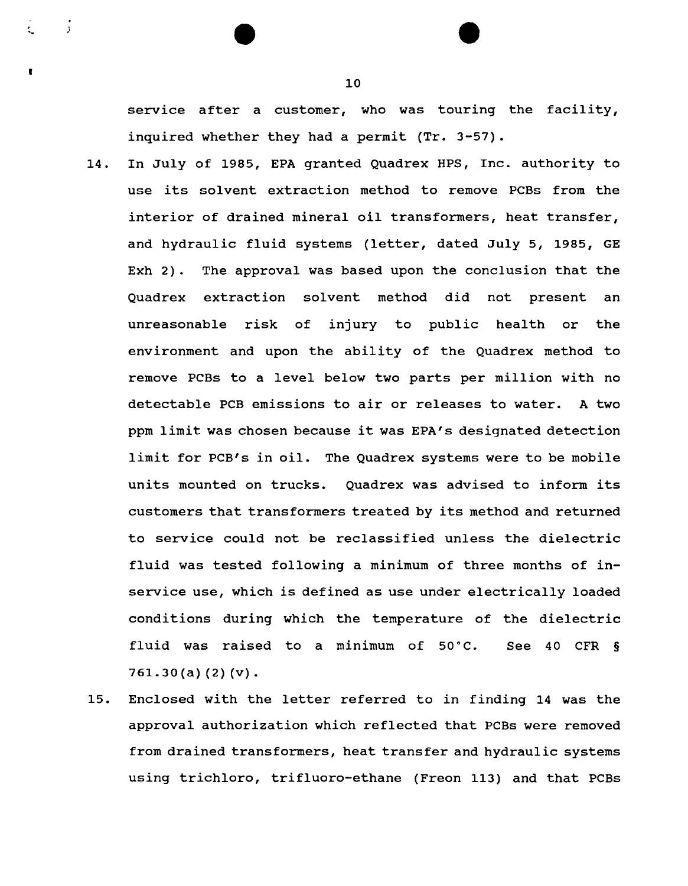service after a customer, who was touring the facility, inquired whether they had a permit {Tr. 3-57).

- 14. In July of 1985, EPA granted Quadrex HPS, Inc. authority to use its sol vent extraction method to remove PCBs from the interior of drained mineral oil transformers, heat transfer, and hydraulic fluid systems {letter, dated July 5, 1985, GE Exh 2). The approval was based upon the conclusion that the Quadrex extraction solvent method did not present an unreasonable risk of injury to public health or the environment and upon the ability of the Quadrex method to remove PCBs to a level below two parts per million with no detectable PCB emissions to air or releases to water. A two ppm limit was chosen because it was EPA's designated detection limit for PCB's in oil. The Quadrex systems were to be mobile units mounted on trucks. Quadrex was advised to inform its customers that transformers treated by its method and returned to service could not be reclassified unless the dielectric fluid was tested following a minimum of three months of inservice use, which is defined as use under electrically loaded conditions during which the temperature of the dielectric fluid was raised to a minimum of  $50^{\circ}$ C. See 40 CFR §  $761.30(a)$   $(2)$   $(v)$ .
- 15. Enclosed with the letter referred to in finding 14 was the approval authorization which reflected that PCBs were removed from drained transformers, heat transfer and hydraulic systems using trichloro, trifluoro-ethane {Freon 113) and that PCBs

10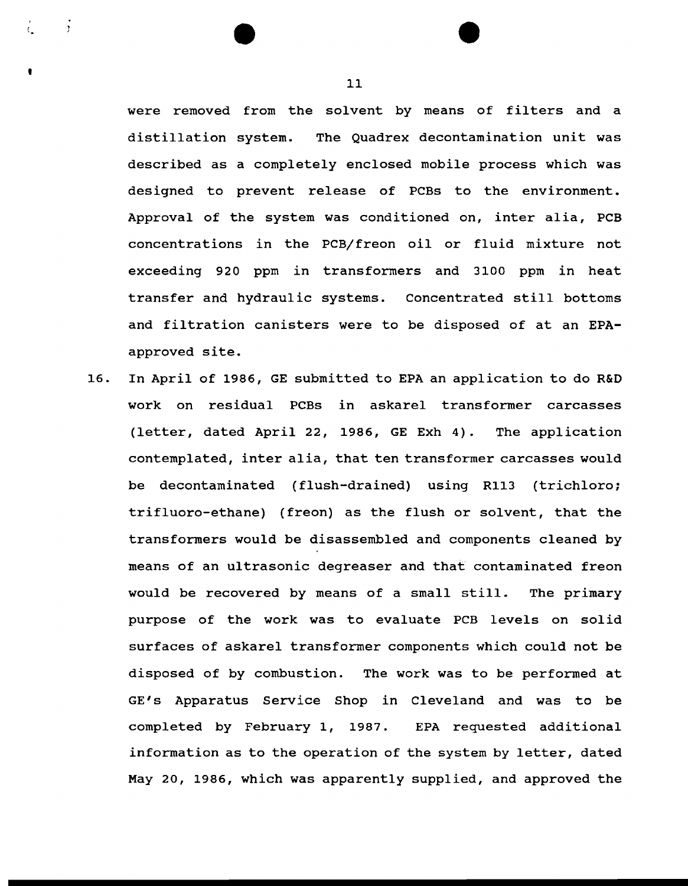were removed from the solvent by means of filters and a distillation system. The Quadrex decontamination unit was described as a completely enclosed mobile process which was designed to prevent release of PCBs to the environment. Approval of the system was conditioned on, inter alia, PCB concentrations in the PCB/freon oil or fluid mixture not exceeding 920 ppm in transformers and 3100 ppm in heat transfer and hydraulic systems. Concentrated still bottoms and filtration canisters were to be disposed of at an EPAapproved site.

16. In April of 1986, GE submitted to EPA an application to do R&D work on residual PCBs in askarel transformer carcasses (letter, dated April 22, 1986, GE Exh 4). The application contemplated, inter alia, that ten transformer carcasses would be decontaminated (flush-drained) using R113 (trichloro; trifluoro-ethane) (freon) as the flush or solvent, that the transformers would be disassembled and components cleaned by means of an ultrasonic degreaser and that contaminated freon would be recovered by means of a small still. The primary purpose of the work was to evaluate PCB levels on solid surfaces of askarel transformer components which could not be disposed of by combustion. The work was to be performed at GE's Apparatus Service Shop in Cleveland and was to be completed by February 1, 1987. EPA requested additional information as to the operation of the system by letter, dated May 20, 1986, which was apparently supplied, and approved the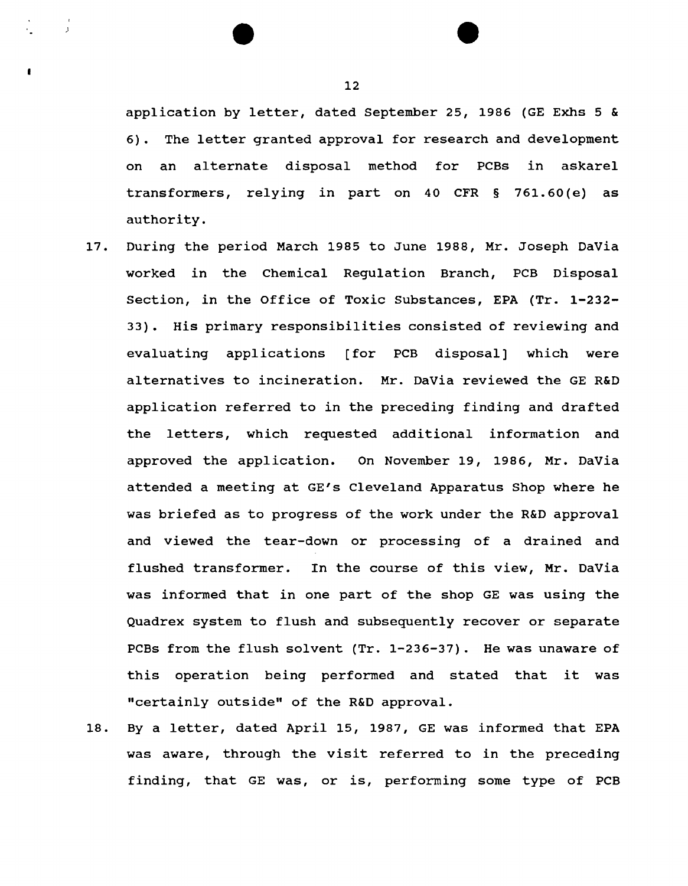application by letter, dated September 25, 1986 (GE Exhs 5 & 6). The letter granted approval for research and development on an alternate disposal method for PCBs in askarel transformers, relying in part on 40 CFR § 761.60 (e) as authority.

- 17. During the period March 1985 to June 1988, Mr. Joseph DaVia worked in the Chemical Regulation Branch, PCB Disposal Section, in the Office of Toxic Substances, EPA (Tr. 1-232- 33). His primary responsibilities consisted of reviewing and evaluating applications [for PCB disposal] which were alternatives to incineration. Mr. DaVia reviewed the GE R&D application referred to in the preceding finding and drafted the letters, which requested additional information and approved the application. On November 19, 1986, Mr. DaVia attended a meeting at GE's Cleveland Apparatus Shop where he was briefed as to progress of the work under the R&D approval and viewed the tear-down or processing of a drained and flushed transformer. In the course of this view, Mr. DaVia was informed that in one part of the shop GE was using the Quadrex system to flush and subsequently recover or separate PCBs from the flush solvent (Tr. 1-236-37). He was unaware of this operation being performed and stated that it was "certainly outside" of the R&D approval.
- 18. By a letter, dated April 15, 1987, GE was informed that EPA was aware, through the visit referred to in the preceding finding, that GE was, or is, performing some type of PCB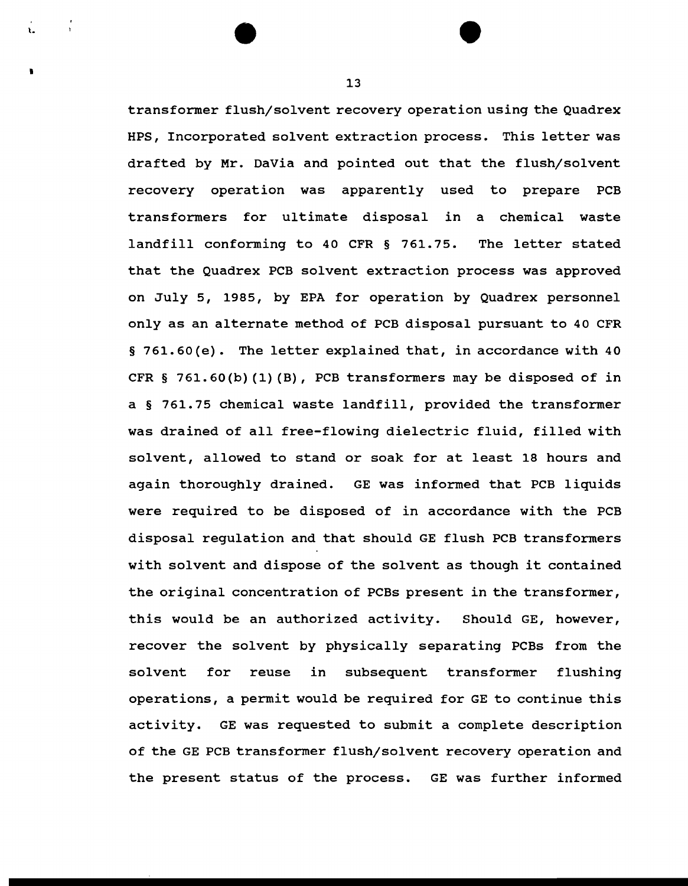transformer flush/solvent recovery operation using the Quadrex HPS, Incorporated solvent extraction process. This letter was drafted by Mr. DaVia and pointed out that the flush/solvent recovery operation was apparently used to prepare PCB transformers for ultimate disposal in a chemical waste landfill conforming to 40 CFR § 761.75. The letter stated that the Quadrex PCB solvent extraction process was approved on July 5, 1985, by EPA for operation by Quadrex personnel only as an alternate method of PCB disposal pursuant to 40 CFR § 761.60(e). The letter explained that, in accordance with 40 CFR § 761.60(b) (1) (B), PCB transformers may be disposed of in a § 761.75 chemical waste landfill, provided the transformer was drained of all free-flowing dielectric fluid, filled with solvent, allowed to stand or soak for at least 18 hours and again thoroughly drained. GE was informed that PCB liquids were required to be disposed of in accordance with the PCB disposal regulation and that should GE flush PCB transformers with solvent and dispose of the solvent as though it contained the original concentration of PCBs present in the transformer, this would be an authorized activity. Should GE, however, recover the solvent by physically separating PCBs from the solvent for reuse in subsequent transformer flushing operations, a permit would be required for GE to continue this activity. GE was requested to submit a complete description of the GE PCB transformer flush/solvent recovery operation and the present status of the process. GE was further informed

13

•

t.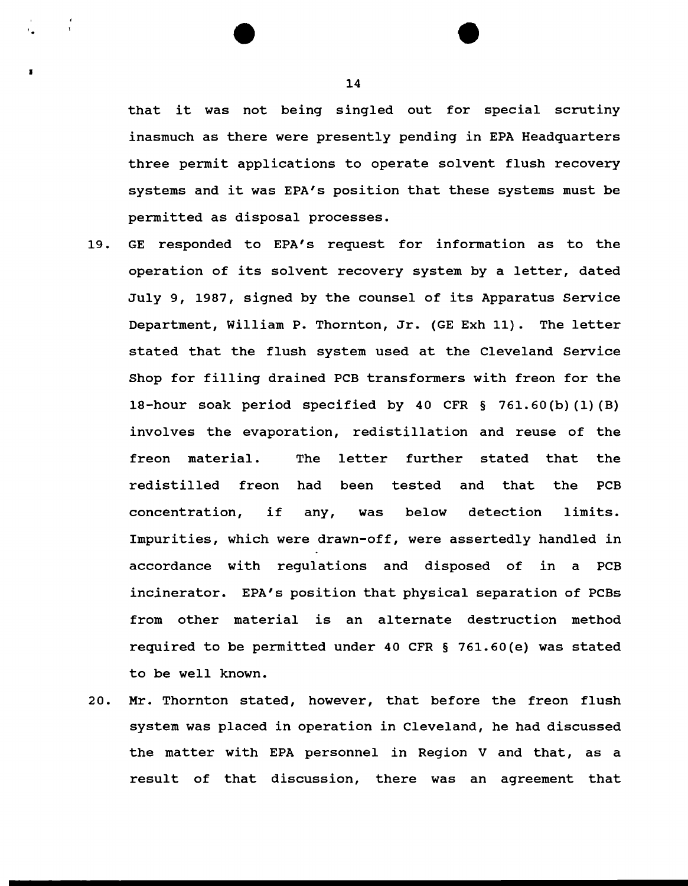that it was not being singled out for special scrutiny inasmuch as there were presently pending in EPA Headquarters three permit applications to operate solvent flush recovery systems and it was EPA's position that these systems must be permitted as disposal processes.

- 19. GE responded to EPA's request for information as to the operation of its solvent recovery system by a letter, dated July 9, 1987, signed by the counsel of its Apparatus Service Department, William P. Thornton, Jr. (GE Exh 11). The letter stated that the flush system used at the Cleveland Service Shop for filling drained PCB transformers with freon for the 18-hour soak period specified by 40 CFR § 761.60 (b) (1) (B) involves the evaporation, redistillation and reuse of the freon material. The letter redistilled freon further stated that the been tested and that the PCB concentration, if any, was below detection limits. Impurities, which were drawn-off, were assertedly handled in accordance with regulations and disposed of in a PCB incinerator. EPA's position that physical separation of PCBs from other material is an alternate destruction method required to be permitted under 40 CFR § 761.60(e) was stated to be well known.
- 20. Mr. Thornton stated, however, that before the freon flush system was placed in operation in Cleveland, he had discussed the matter with EPA personnel in Region V and that, as a result of that discussion, there was an agreement that

14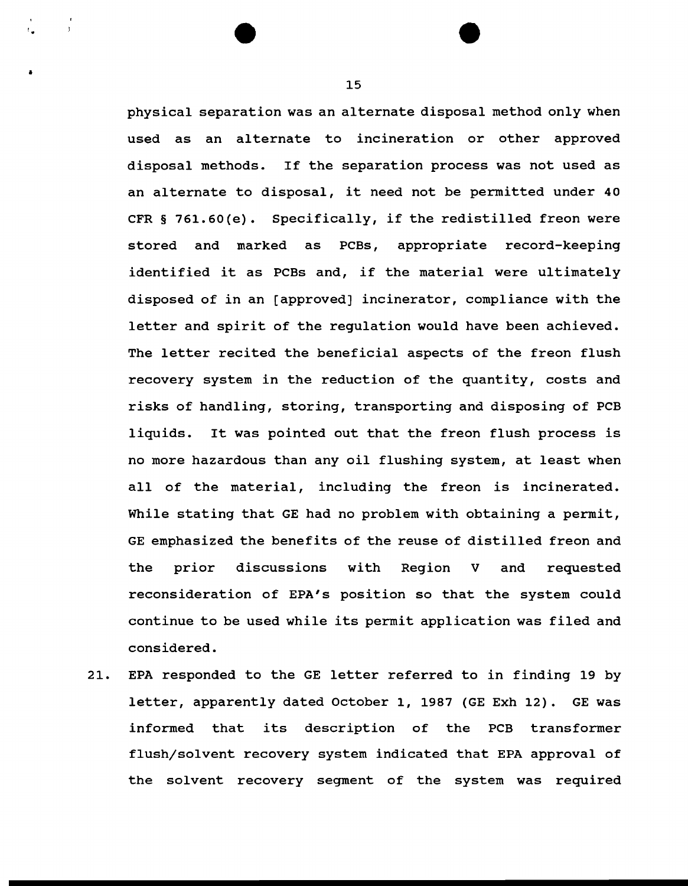physical separation was an alternate disposal method only when used as an alternate to incineration or other approved disposal methods. If the separation process was not used as an alternate to disposal, it need not be permitted under 40 CFR § 761.60(e). Specifically, if the redistilled freon were stored and marked as PCBs, appropriate record-keeping identified it as PCBs and, if the material were ultimately disposed of in an [approved] incinerator, compliance with the letter and spirit of the regulation would have been achieved. The letter recited the beneficial aspects of the freon flush recovery system in the reduction of the quantity, costs and risks of handling, storing, transporting and disposing of PCB liquids. It was pointed out that the freon flush process is no more hazardous than any oil flushing system, at least when all of the material, including the freon is incinerated. While stating that GE had no problem with obtaining a permit, GE emphasized the benefits of the reuse of distilled freon and the prior discussions with Region v and requested reconsideration of EPA's position so that the system could continue to be used while its permit application was filed and considered.

21. EPA responded to the GE letter referred to in finding 19 by letter, apparently dated October 1, 1987 (GE Exh 12). GE was informed that its description of the PCB transformer flush/solvent recovery system indicated that EPA approval of the solvent recovery segment of the system was required

15

 $^{\circ}$   $\bullet$ 

•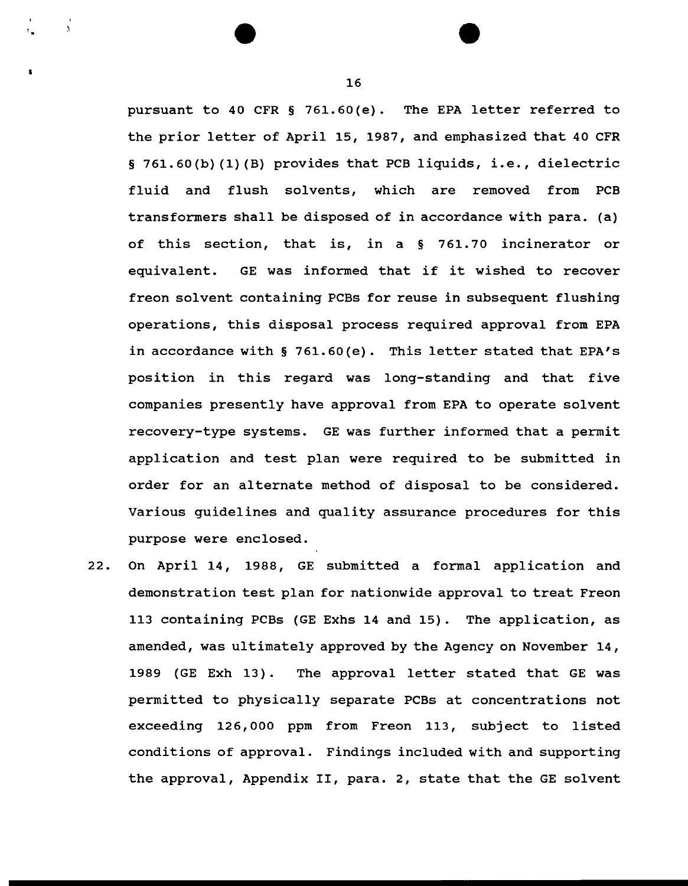pursuant to 40 CFR § 761.60(e). The EPA letter referred to the prior letter of April 15, 1987, and emphasized that 40 CFR § 761.60(b) (1) (B) provides that PCB liquids, i.e., dielectric fluid and flush solvents, which are removed from PCB transformers shall be disposed of in accordance with para. (a) of this section, that is, in a § 761.70 incinerator or equivalent. GE was informed that if it wished to recover freon solvent containing PCBs for reuse in subsequent flushing operations, this disposal process required approval from EPA in accordance with § 761.60(e). This letter stated that EPA's position in this regard was long-standing and that five companies presently have approval from EPA to operate solvent recovery-type systems. GE was further informed that a permit application and test plan were required to be submitted in order for an alternate method of disposal to be considered. Various guidelines and quality assurance procedures for this purpose were enclosed.

22. On April 14, 1988, GE submitted a formal application and demonstration test plan for nationwide approval to treat Freon 113 containing PCBs (GE Exhs 14 and 15). The application, as amended, was ultimately approved by the Agency on November 14, 1989 (GE Exh 13). The approval letter stated that GE was permitted to physically separate PCBs at concentrations not exceeding 126,000 ppm from Freon 113, subject to listed conditions of approval. Findings included with and supporting the approval, Appendix II, para. 2, state that the GE solvent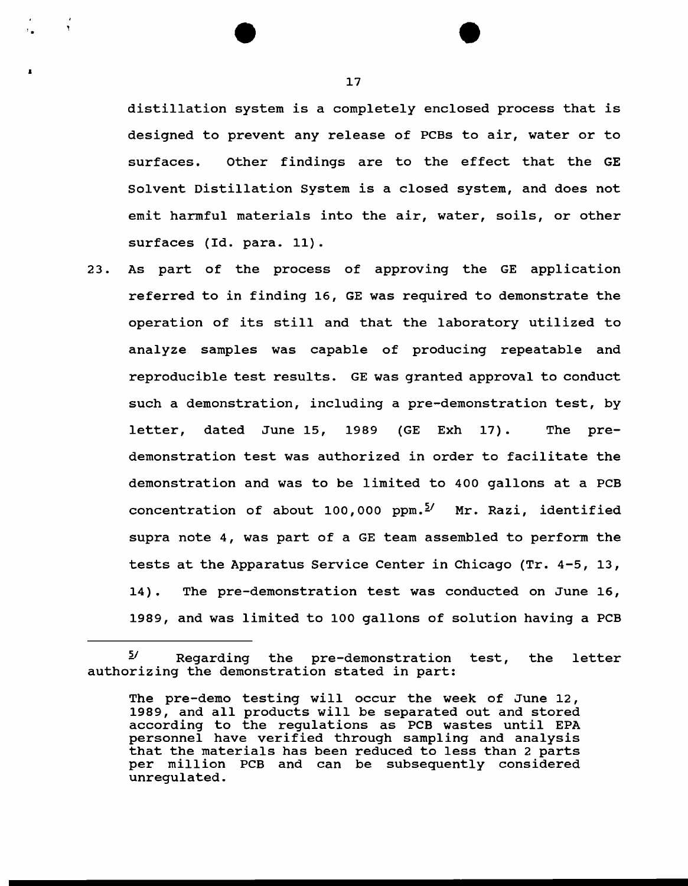distillation system is a completely enclosed process that is designed to prevent any release of PCBs to air, water or to surfaces. Other findings are to the effect that the GE Solvent Distillation System is a closed system, and does not emit harmful materials into the air, water, soils, or other surfaces (Id. para. 11).

23. As part of the process of approving the GE application referred to in finding 16, GE was required to demonstrate the operation of its still and that the laboratory utilized to analyze samples was capable of producing repeatable and reproducible test results. GE was granted approval to conduct such a demonstration, including a pre-demonstration test, by letter, dated June 15, 1989 (GE Exh 17). The predemonstration test was authorized in order to facilitate the demonstration and was to be limited to 400 gallons at a PCB concentration of about 100,000 ppm.<sup>5/</sup> Mr. Razi, identified supra note 4, was part of a GE team assembled to perform the tests at the Apparatus Service Center in Chicago (Tr. 4-5, 13, 14). The pre-demonstration test was conducted on June 16, 1989, and was limited to 100 gallons of solution having a PCB

17

 $2^{\int$  Regarding the pre-demonstration test, the letter authorizing the demonstration stated in part:

The pre-demo testing will occur the week of June 12, 1989, and all products will be separated out and stored according to the regulations as PCB wastes until EPA personnel have verified through sampling and analysis that the materials has been reduced to less than 2 parts per million PCB and can be subsequently considered unregulated.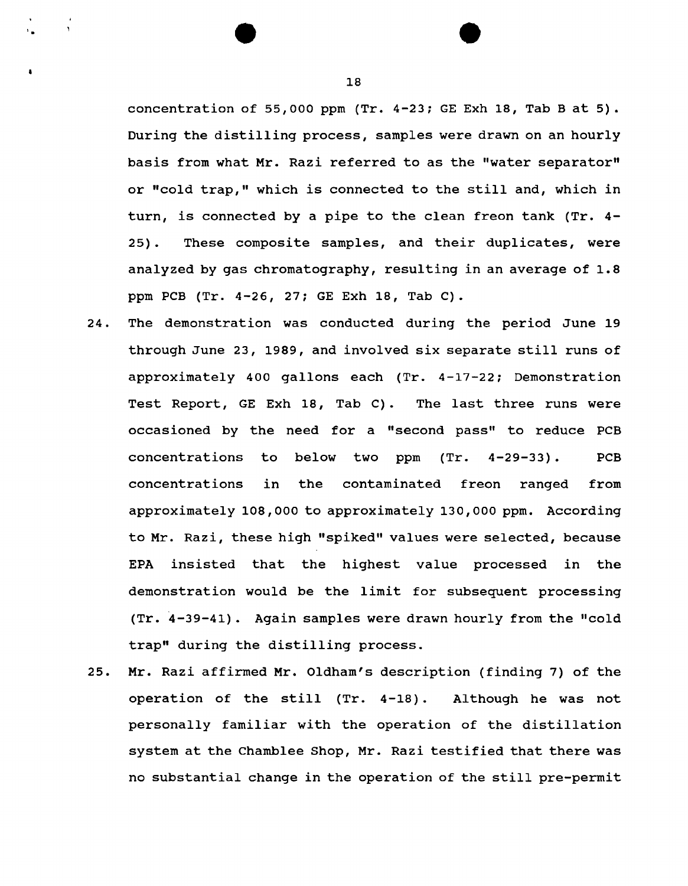concentration of 55,000 ppm  $(Tr. 4-23; GE Exh 18, Tab B at 5)$ . During the distilling process, samples were drawn on an hourly basis from what Mr. Razi referred to as the "water separator" or "cold trap," which is connected to the still and, which in turn, is connected by a pipe to the clean freon tank (Tr. 4- 25). These composite samples, and their duplicates, were analyzed by gas chromatography, resulting in an average of 1.8 ppm PCB (Tr. 4-26, 27; GE Exh 18, Tab C).

- 24. The demonstration was conducted during the period June 19 through June 23, 1989, and involved six separate still runs of approximately 400 gallons each (Tr. 4-17-22; Demonstration Test Report, GE Exh 18, Tab C). The last three runs were occasioned by the need for a "second pass" to reduce PCB concentrations to below two  $(Tr. \t 4-29-33)$ . PCB concentrations in the contaminated freon ranged from approximately 108,000 to approximately 130,000 ppm. According to Mr. Razi, these high "spiked" values were selected, because EPA insisted that the highest value processed in the demonstration would be the limit for subsequent processing (Tr. 4-39-41). Again samples were drawn hourly from the "cold trap" during the distilling process.
- 25. Mr. Razi affirmed Mr. Oldham's description (finding 7) of the operation of the still (Tr. 4-18) . Although he was not personally familiar with the operation of the distillation system at the Chamblee Shop, Mr. Razi testified that there was no substantial change in the operation of the still pre-permit

18

' .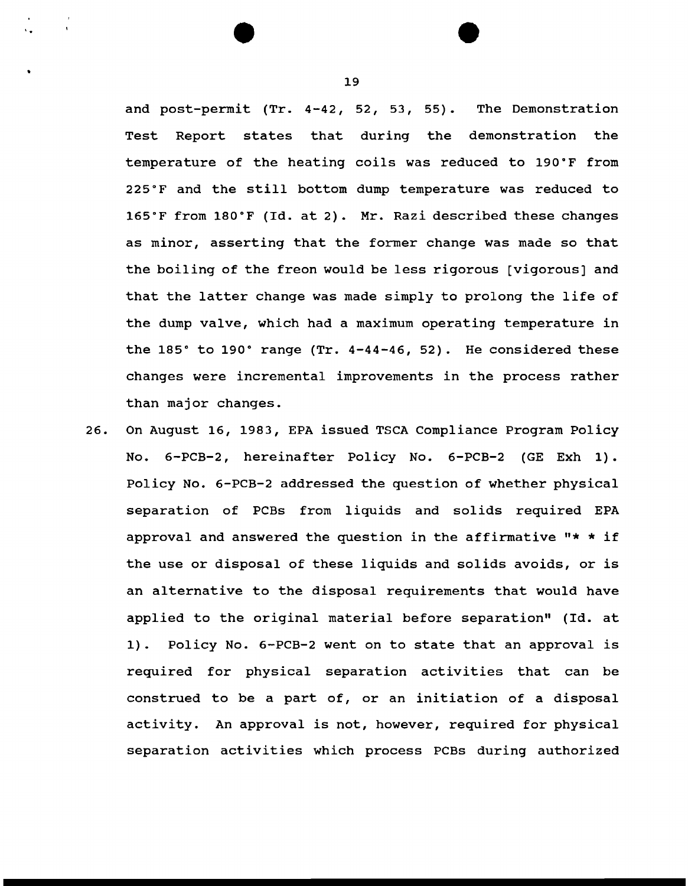and post-permit (Tr. 4-42, 52, 53, 55). The Demonstration Test Report states that during the demonstration the temperature of the heating coils was reduced to 190"F from 225"F and the still bottom dump temperature was reduced to 165"F from 180"F (Id. at 2). Mr. Razi described these changes as minor, asserting that the former change was made so that the boiling of the freon would be less rigorous [vigorous] and that the latter change was made simply to prolong the life of the dump valve, which had a maximum operating temperature in the 185" to 190" range (Tr. 4-44-46, 52). He considered these changes were incremental improvements in the process rather than major changes.

26. On August 16, 1983, EPA issued TSCA Compliance Program Policy No. 6-PCB-2, hereinafter Policy No. 6-PCB-2 (GE Exh 1). Policy No. 6-PCB-2 addressed the question of whether physical separation of PCBs from liquids and solids required EPA approval and answered the question in the affirmative "\* \* if the use or disposal of these liquids and solids avoids, or is an alternative to the disposal requirements that would have applied to the original material before separation" (Id. at 1). Policy No. 6-PCB-2 went on to state that an approval is required for physical separation activities that can be construed to be a part of, or an initiation of a disposal activity. An approval is not, however, required for physical separation activities which process PCBs during authorized

19

'.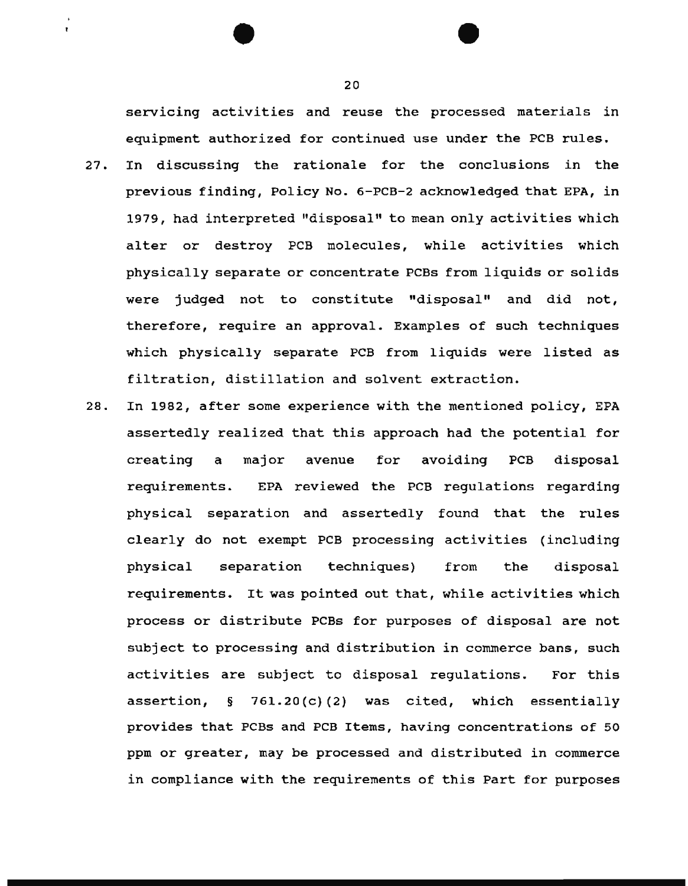servicing activities and reuse the processed materials in equipment authorized for continued use under the PCB rules.

- 27. In discussing the rationale for the conclusions in the previous finding, Policy No. 6-PCB-2 acknowledged that EPA, in 1979, had interpreted "disposal" to mean only activities which alter or destroy PCB molecules, while activities which physically separate or concentrate PCBs from liquids or solids were judged not to constitute "disposal" and did not, therefore, require an approval. Examples of such techniques which physically separate PCB from liquids were listed as filtration, distillation and solvent extraction.
- 28. In 1982, after some experience with the mentioned policy, EPA assertedly realized that this approach had the potential for creating a major avenue for avoiding PCB disposal requirements. EPA reviewed the PCB regulations regarding physical separation and assertedly found that the rules clearly do not exempt PCB processing activities (including physical separation techniques) from the disposal requirements. It was pointed out that, while activities which process or distribute PCBs for purposes of disposal are not subject to processing and distribution in commerce bans, such activities are subject to disposal regulations. For this assertion, § 761.20(c) (2) was cited, which essentially provides that PCBs and PCB Items, having concentrations of 50 ppm or greater, may be processed and distributed in commerce in compliance with the requirements of this Part for purposes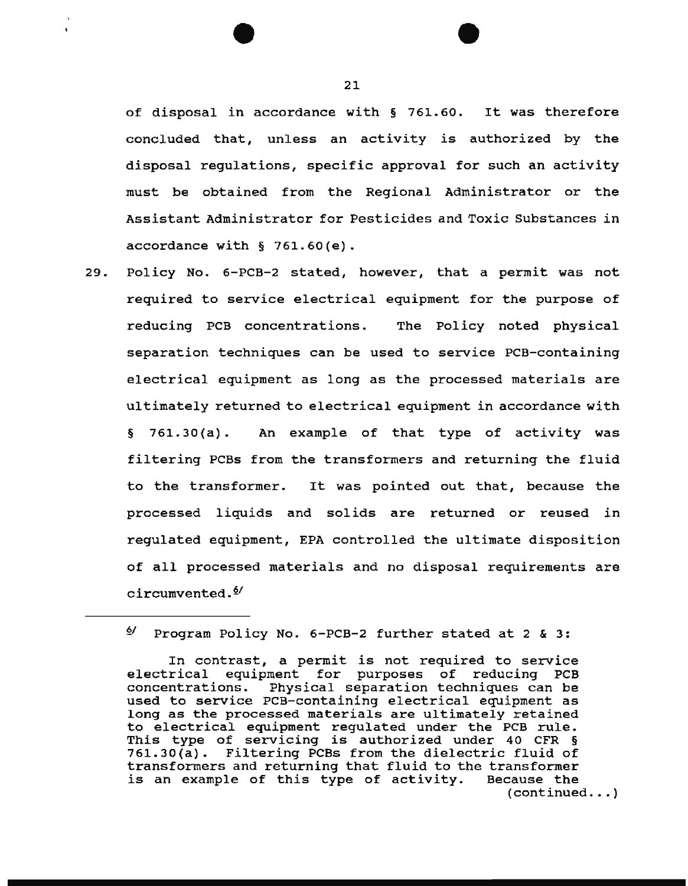of disposal in accordance with § 761.60. It was therefore concluded that, unless an activity is authorized by the disposal regulations, specific approval for such an activity must be obtained from the Regional Administrator or the Assistant Administrator for Pesticides and Toxic Substances in accordance with § 761.60(e).

29. Policy No. 6-PCB-2 stated, however, that a permit was not required to service electrical equipment for the purpose of reducing PCB concentrations. The Policy noted physical separation techniques can be used to service PCB-containing electrical equipment as long as the processed materials are ultimately returned to electrical equipment in accordance with § 761.30{a). An example of that type of activity was filtering PCBs from the transformers and returning the fluid to the transformer. It was pointed out that, because the processed liquids and solids are returned or reused in regulated equipment, EPA controlled the ultimate disposition of all processed materials and no disposal requirements are circumvented. $\frac{\delta}{2}$ 

 $6/$  Program Policy No. 6-PCB-2 further stated at 2 & 3:

In contrast, a permit is not required to service electrical equipment for purposes of reducing PCB<br>concentrations. Physical separation techniques can be Physical separation techniques can be used to service PCB-containing electrical equipment as long as the processed materials are ultimately retained to electrical equipment regulated under the PCB rule. This type of servicing is authorized under 40 CFR § 761.30(a). Filtering PCBs from the dielectric fluid of Filtering PCBs from the dielectric fluid of transformers and returning that fluid to the transformer is an example of this type of activity. Because the  $(continued... )$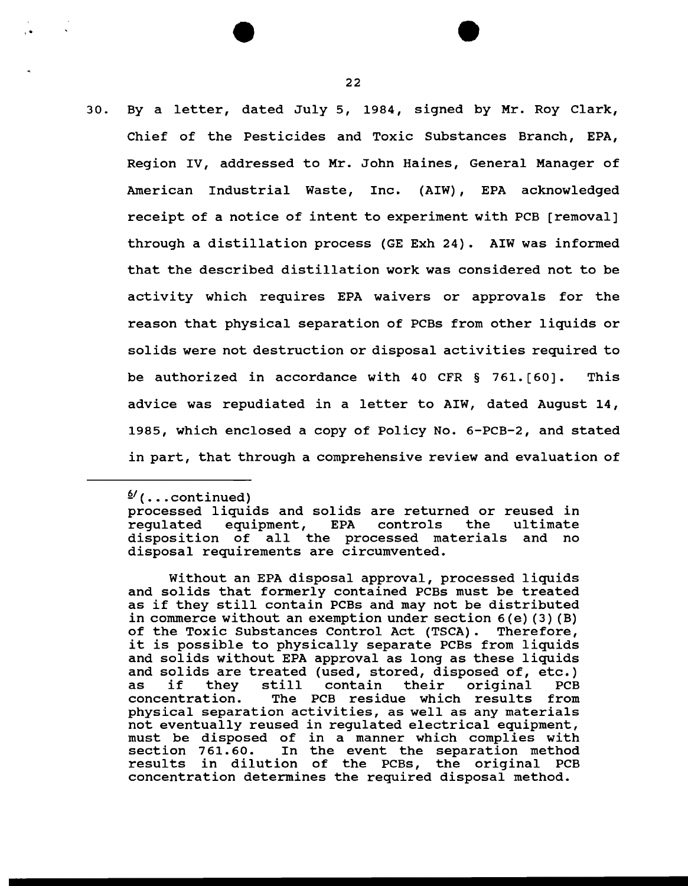30. By a letter, dated July 5, 1984, signed by Mr. Roy Clark, Chief of the Pesticides and Toxic Substances Branch, EPA, Region IV, addressed to Mr. John Haines, General Manager of American Industrial Waste, Inc. (AIW), EPA acknowledged receipt of a notice of intent to experiment with PCB [removal] through a distillation process (GE Exh 24). AIW was informed that the described distillation work was considered not to be activity which requires EPA waivers or approvals for the reason that physical separation of PCBs from other liquids or solids were not destruction or disposal activities required to be authorized in accordance with 40 CFR § 761. [60]. This advice was repudiated in a letter to AIW, dated August 14, 1985, which enclosed a copy of Policy No. 6-PCB-2, and stated in part, that through a comprehensive review and evaluation of

,.

<sup>&</sup>lt;sup><u><sup>6</sup></sub>/(...continued)</u></sup>

processed liquids and solids are returned or reused in requlated equipment, EPA controls the ultimate equipment, EPA disposition of all the processed materials and no disposal requirements are circumvented.

Without an EPA disposal approval, processed liquids and solids that formerly contained PCBs must be treated as if they still contain PCBs and may not be distributed in commerce without an exemption under section 6(e)(3)(B)<br>of the Toxic Substances Control Act (TSCA). Therefore, of the Toxic Substances Control Act (TSCA). it is possible to physically separate PCBs from liquids and solids without EPA approval as long as these liquids and solids are treated (used, stored, disposed of, etc.) and solids are treated (used, stored, disposed of, etc.)<br>as if they still contain their original PCB as if they still contain their original PCB<br>concentration. The PCB residue which results from physical separation activities, as well as any materials not eventually reused in regulated electrical equipment, must be disposed of in a manner which complies with section 761.60. In the event the separation method results in dilution of the PCBs, the original PCB concentration determines the required disposal method.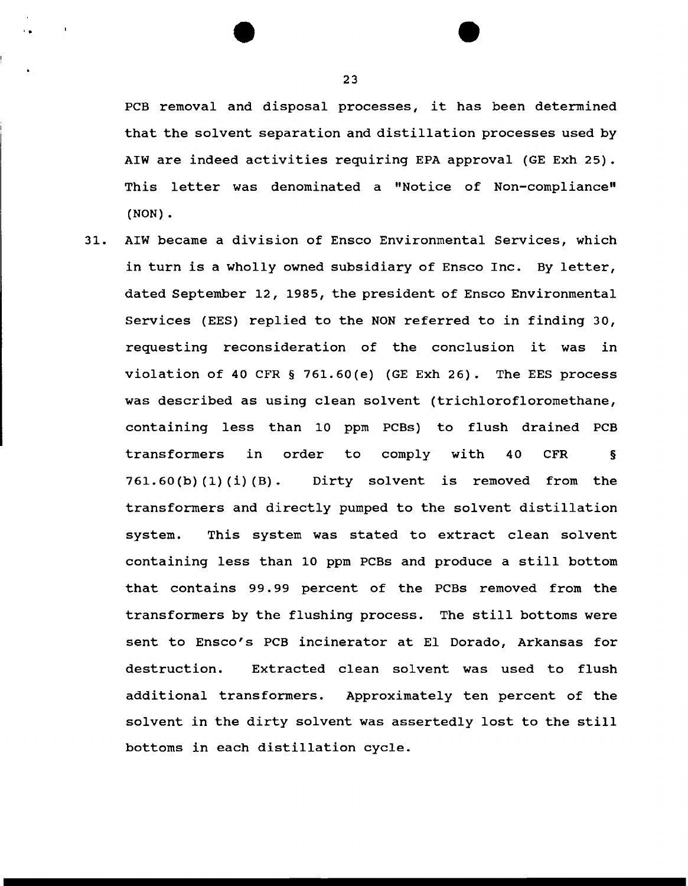PCB removal and disposal processes, it has been determined that the solvent separation and distillation processes used by AIW are indeed activities requiring EPA approval (GE Exh 25) . This letter was denominated a "Notice of Non-compliance" (NON) .

31. AIW became a division of Ensco Environmental Services, which in turn is a wholly owned subsidiary of Ensco Inc. By letter, dated September 12, 1985, the president of Ensco Environmental Services (EES) replied to the NON referred to in finding 30, requesting reconsideration of the conclusion it was in violation of 40 CFR § 761.60(e) (GE Exh 26). The EES process was described as using clean solvent (trichlorofloromethane, containing less than 10 ppm PCBs) to flush drained PCB transformers in 761.60(b) (1) (i) (B). order to Dirty solvent is removed from the comply with 40 CFR § transformers and directly pumped to the solvent distillation system. This system was stated to extract clean solvent containing less than 10 ppm PCBs and produce a still bottom that contains 99.99 percent of the PCBs removed from the transformers by the flushing process. The still bottoms were sent to Ensco's PCB incinerator at El Dorado, Arkansas for destruction. Extracted clean solvent was used to flush additional transformers. Approximately ten percent of the solvent in the dirty solvent was assertedly lost to the still bottoms in each distillation cycle.

23

..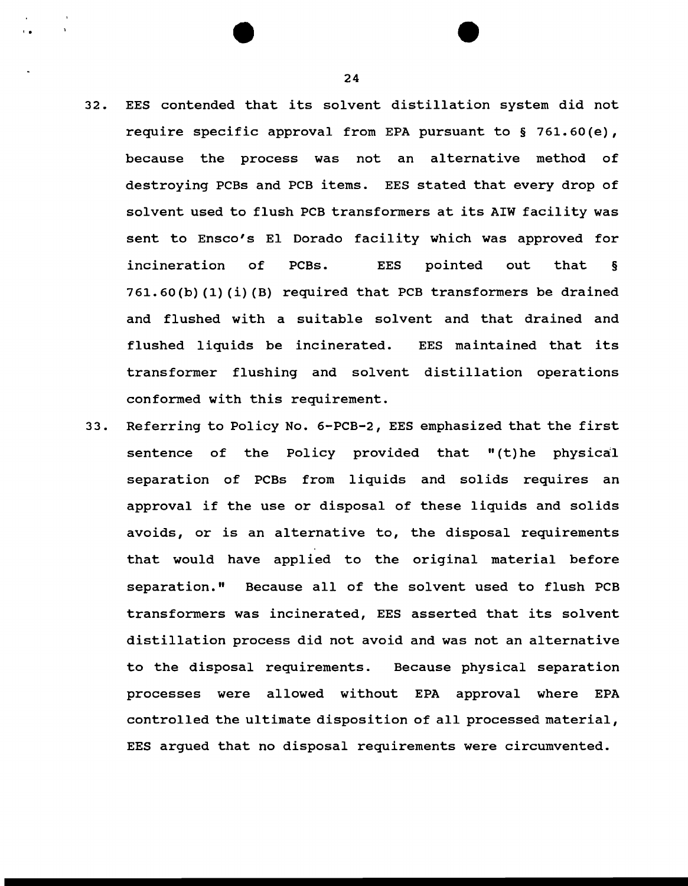- 32. EES contended that its solvent distillation system did not require specific approval from EPA pursuant to§ 761.60(e), because the process was not an alternative method of destroying PCBs and PCB items. EES stated that every drop of solvent used to flush PCB transformers at its AIW facility was sent to Ensco's El Dorado facility which was approved for incineration of PCBs. EES pointed out that § 761.60(b) (1) (i) (B) required that PCB transformers be drained and flushed with a suitable solvent and that drained and flushed liquids be incinerated. EES maintained that its transformer flushing and solvent distillation operations conformed with this requirement.
- 33. Referring to Policy No. 6-PCB-2, EES emphasized that the first sentence of the Policy provided that "(t)he physical separation of PCBs from liquids and solids requires an approval if the use or disposal of these liquids and solids avoids, or is an alternative to, the disposal requirements that would have applied to the original material before separation." Because all of the solvent used to flush PCB transformers was incinerated, EES asserted that its solvent distillation process did not avoid and was not an alternative to the disposal requirements. Because physical separation processes were allowed without EPA approval where EPA controlled the ultimate disposition of all processed material, EES argued that no disposal requirements were circumvented.

24

' .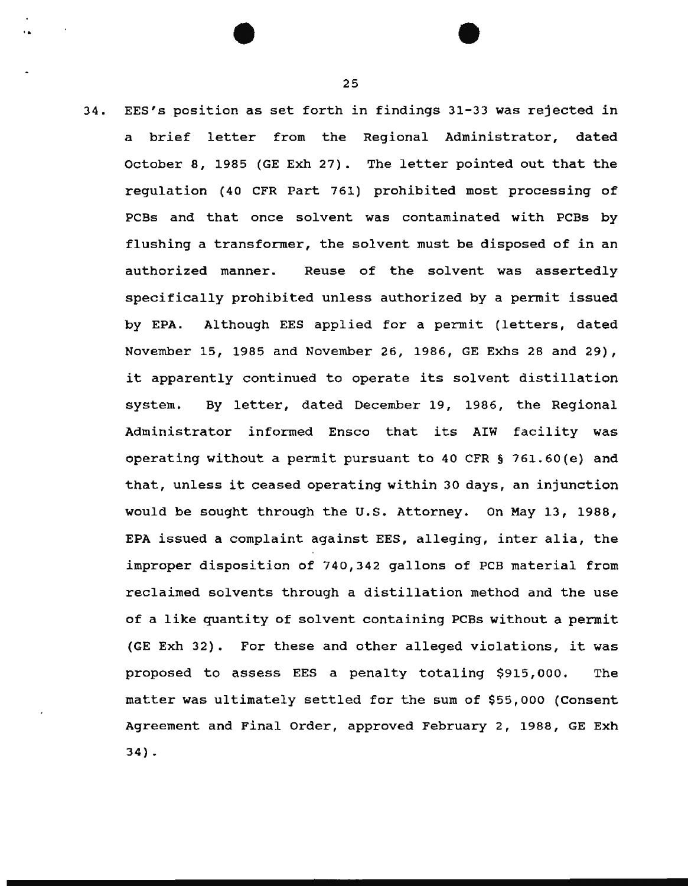34. EES's position as set forth in findings 31-33 was rejected in a brief letter from the Regional Administrator, dated October 8, 1985 (GE Exh 27). The letter pointed out that the regulation (40 CFR Part 761) prohibited most processing of PCBs and that once solvent was contaminated with PCBs by flushing a transformer, the solvent must be disposed of in an authorized manner. Reuse of the solvent was assertedly specifically prohibited unless authorized by a permit issued by EPA. Although EES applied for a permit (letters, dated November 15, 1985 and November 26, 1986, GE Exhs 28 and 29), it apparently continued to operate its solvent distillation system. By letter, dated December 19, 1986, the Regional Administrator informed Ensco that its AIW facility was operating without a permit pursuant to 40 CFR § 761.60(e) and that, unless it ceased operating within 30 days, an injunction would be sought through the U.S. Attorney. On May 13, 1988, EPA issued a complaint against EES, alleging, inter alia, the improper disposition of 740,342 gallons of PCB material from reclaimed solvents through a distillation method and the use of a like quantity of solvent containing PCBs without a permit (GE Exh 32). For these and other alleged violations, it was proposed to assess EES a penalty totaling \$915,000. The matter was ultimately settled for the sum of \$55,000 (Consent Agreement and Final Order, approved February 2, 1988, GE Exh  $34$ ).

25

. . •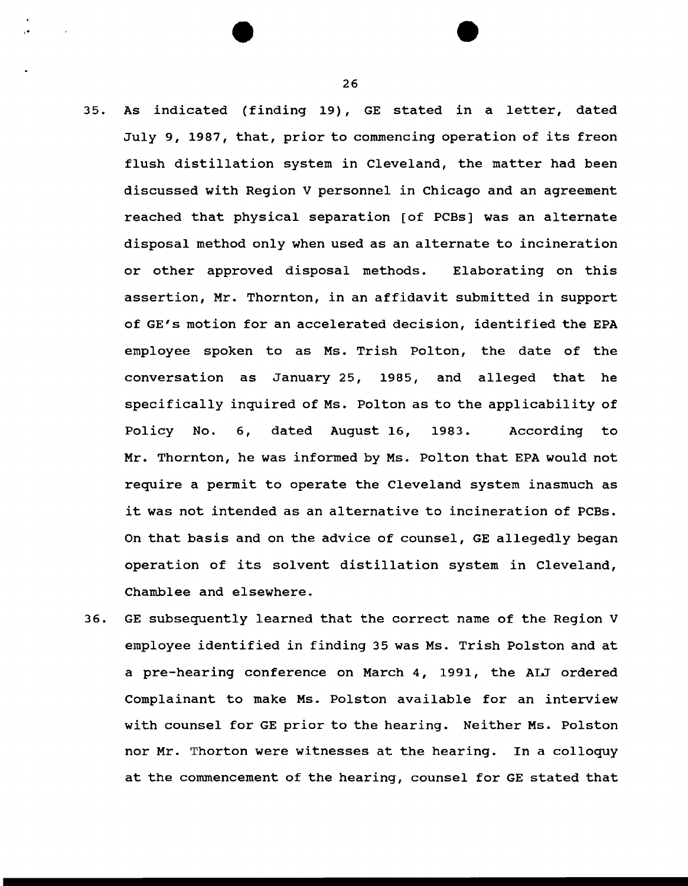- 35. As indicated (finding 19), GE stated in a letter, dated July 9, 1987, that, prior to commencing operation of its freon flush distillation system in Cleveland, the matter had been discussed with Region V personnel in Chicago and an agreement reached that physical separation [of PCBs] was an alternate disposal method only when used as an alternate to incineration or other approved disposal methods. Elaborating on this assertion, Mr. Thornton, in an affidavit submitted in support of GE's motion for an accelerated decision, identified the EPA employee spoken to as Ms. Trish Polton, the date of the conversation as January 25, 1985, and alleged that he specifically inquired of Ms. Polton as to the applicability of Policy No. 6, dated August 16, 1983. According to Mr. Thornton, he was informed by Ms. Polton that EPA would not require a permit to operate the Cleveland system inasmuch as it was not intended as an alternative to incineration of PCBs. On that basis and on the advice of counsel, GE allegedly began operation of its solvent distillation system in Cleveland, Chamblee and elsewhere.
- 36. GE subsequently learned that the correct name of the Region V employee identified in finding 35 was Ms. Trish Polston and at a pre-hearing conference on March 4, 1991, the ALJ ordered Complainant to make Ms. Polston available for an interview with counsel for GE prior to the hearing. Neither Ms. Polston nor Mr. Thorton were witnesses at the hearing. In a colloquy at the commencement of the hearing, counsel for GE stated that

26

'.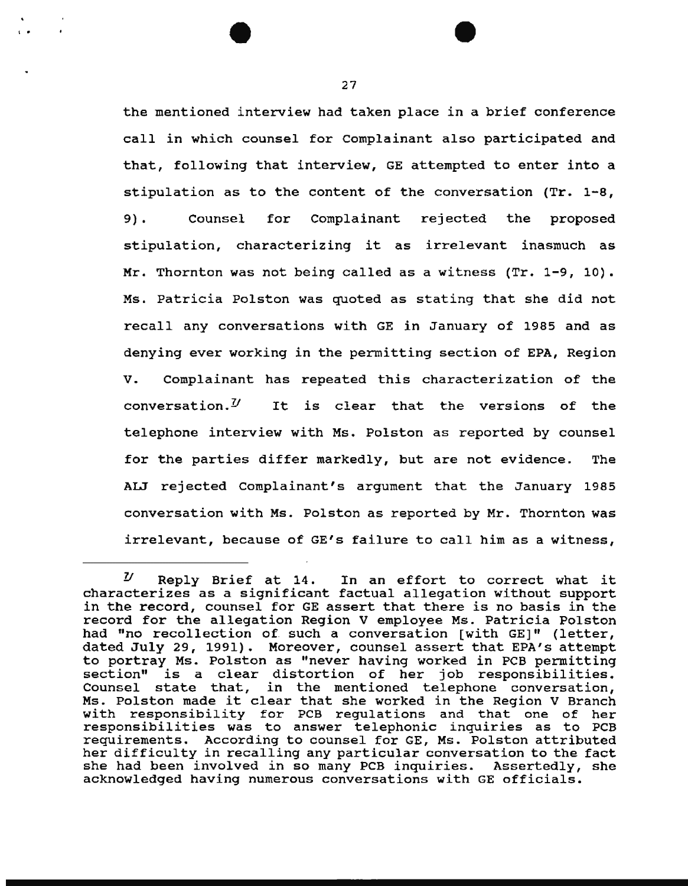the mentioned interview had taken place in a brief conference call in which counsel for Complainant also participated and that, following that interview, GE attempted to enter into a stipulation as to the content of the conversation (Tr. 1-8, 9) • Counsel for Complainant rejected the proposed stipulation, characterizing it as irrelevant inasmuch as Mr. Thornton was not being called as a witness  $(Tr. 1-9, 10)$ . Ms. Patricia Polston was quoted as stating that she did not recall any conversations with GE in January of 1985 and as denying ever working in the permitting section of EPA, Region V. Complainant has repeated this characterization of the conversation.<sup> $U$ </sup> It is clear that the versions of the telephone interview with Ms. Polston as reported by counsel for the parties differ markedly, but are not evidence. The AIJ rejected Complainant's argument that the January 1985 conversation with Ms. Polston as reported by Mr. Thornton was irrelevant, because of GE's failure to call him as a witness,

I o

 $U$  Reply Brief at 14. In an effort to correct what it characterizes as a significant factual allegation without support in the record, counsel for GE assert that there is no basis in the record for the allegation Region V employee Ms. Patricia Polston had "no recollection of. such a conversation [with GE]" (letter, dated July 29, 1991). Moreover, counsel assert that EPA's attempt to portray Ms. Polston as "never having worked in PCB permitting section" is a clear distortion of her job responsibilities. Counsel state that, in the mentioned telephone conversation, Ms. Polston made it clear that she worked in the Region V Branch with responsibility for PCB regulations and that one of her responsibilities was to answer telephonic inquiries as to PCB requirements. According to counsel for GE, Ms. Polston attributed her difficulty in recalling any particular conversation to the fact she had been involved in so many PCB inquiries. Assertedly, she acknowledged having numerous conversations with GE officials.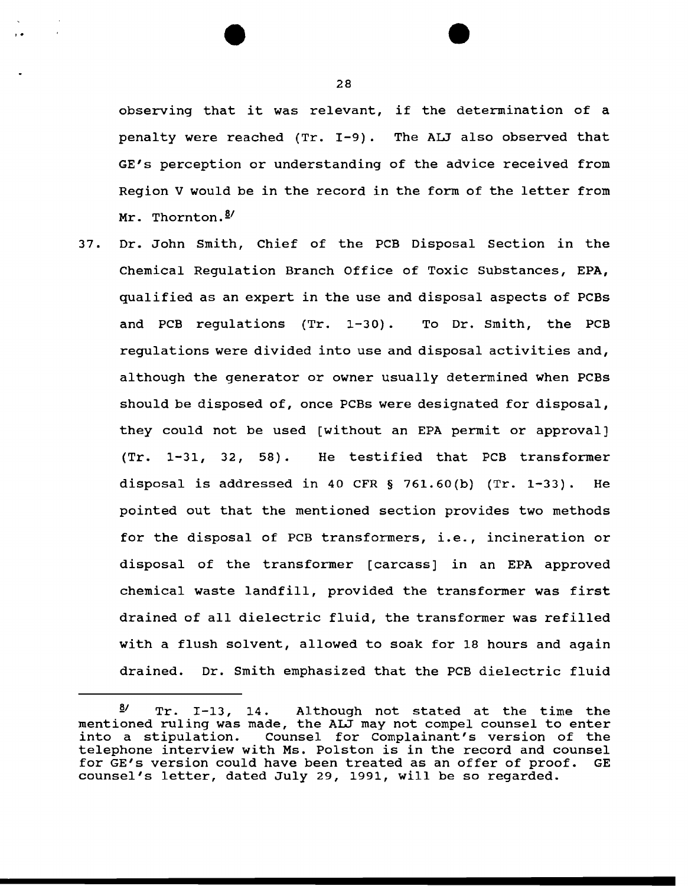observing that it was relevant, if the determination of a penalty were reached (Tr. I-9). The ALJ also observed that GE's perception or understanding of the advice received from Region V would be in the record in the form of the letter from Mr. Thornton. 8/

37. Dr. John Smith, Chief of the PCB Disposal Section in the Chemical Regulation Branch Office of Toxic Substances, EPA, qualified as an expert in the use and disposal aspects of PCBs and PCB regulations (Tr. 1-30). To Dr. Smith, the PCB regulations were divided into use and disposal activities and, although the generator or owner usually determined when PCBs should be disposed of, once PCBs were designated for disposal, they could not be used [without an EPA permit or approval]  $(Tr. 1-31, 32, 58).$  He testified that PCB transformer disposal is addressed in 40 CFR  $\S$  761.60(b) (Tr. 1-33). He pointed out that the mentioned section provides two methods for the disposal of PCB transformers, i.e., incineration or disposal of the transformer [carcass] in an EPA approved chemical waste landfill, provided the transformer was first drained of all dielectric fluid, the transformer was refilled with a flush solvent, allowed to soak for 18 hours and again drained. Dr. Smith emphasized that the PCB dielectric fluid

28

,.

*<sup>§</sup>I* Tr. I-13, 14. Although not stated at the time the mentioned ruling was made, the ALJ may not compel counsel to enter into a stipulation. Counsel for Complainant's version of the telephone interview with Ms. Polston is in the record and counsel for GE's version could have been treated as an offer of proof. GE counsel's letter, dated July 29, 1991, will be so regarded.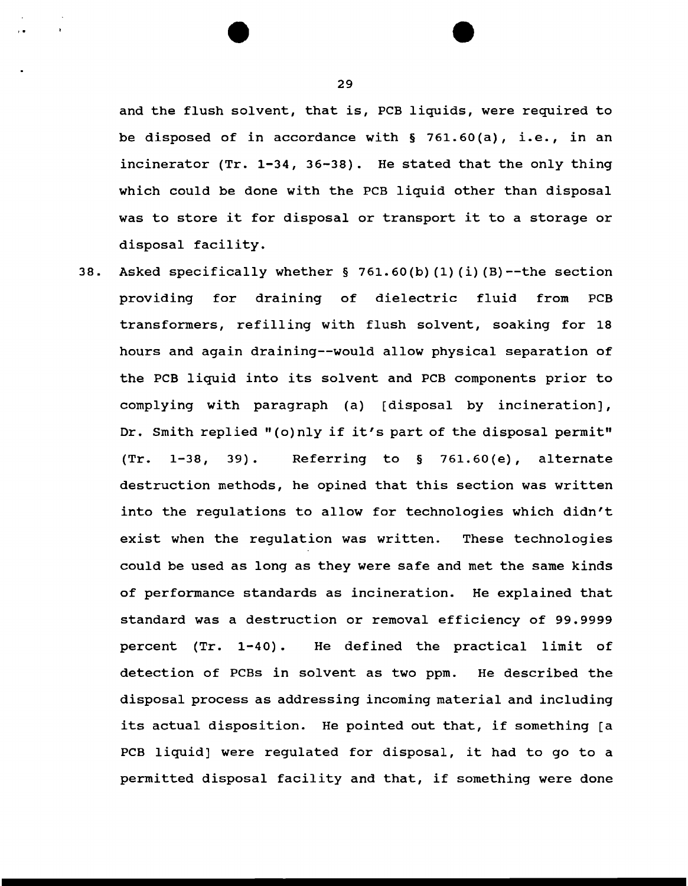and the flush solvent, that is, PCB liquids, were required to be disposed of in accordance with § 761.60(a), i.e., in an incinerator (Tr. 1-34, 36-38). He stated that the only thing which could be done with the PCB liquid other than disposal was to store it for disposal or transport it to a storage or disposal facility.

38. Asked specifically whether § 761.60(b) (1) (i) (B)--the section providing for draining of dielectric fluid from PCB transformers, refilling with flush solvent, soaking for 18 hours and again draining--would allow physical separation of the PCB liquid into its solvent and PCB components prior to complying with paragraph (a) [disposal by incineration], Dr. Smith replied "(o) nly if it's part of the disposal permit" (Tr. 1-38, 39). Referring to § 761.60(e), alternate destruction methods, he opined that this section was written into the regulations to allow for technologies which didn't exist when the regulation was written. These technologies could be used as long as they were safe and met the same kinds of performance standards as incineration. He explained that standard was a destruction or removal efficiency of 99.9999 percent (Tr. 1-40). He defined the practical limit of detection of PCBs in solvent as two ppm. He described the disposal process as addressing incoming material and including its actual disposition. He pointed out that, if something [a PCB liquid] were regulated for disposal, it had to go to a permitted disposal facility and that, if something were done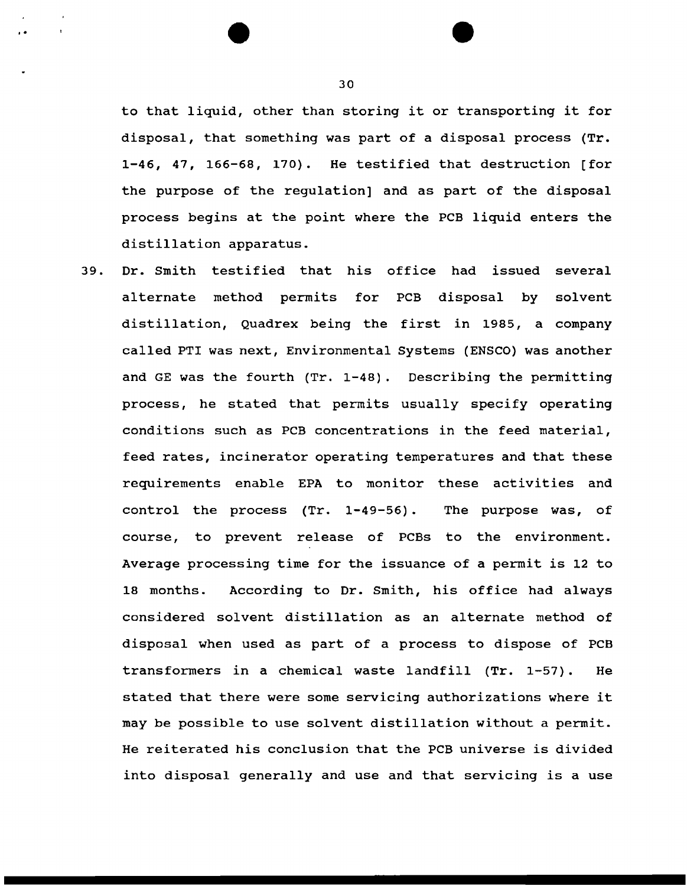to that liquid, other than storing it or transporting it for disposal, that something was part of a disposal process (Tr. 1-46, 47, 166-68, 170). He testified that destruction [for the purpose of the regulation] and as part of the disposal process begins at the point where the PCB liquid enters the distillation apparatus.

39. Dr. Smith testified that his office had issued several alternate method permits for PCB disposal by solvent distillation, Quadrex being the first in 1985, a company called PTI was next, Environmental Systems (ENSCO) was another and GE was the fourth (Tr. 1-48). Describing the permitting process, he stated that permits usually specify operating conditions such as PCB concentrations in the feed material, feed rates, incinerator operating temperatures and that these requirements enable EPA to monitor these activities and control the process (Tr. 1-49-56). The purpose was, of course, to prevent release of PCBs to the environment. Average processing time for the issuance of a permit is 12 to 18 months. According to Dr. Smith, his office had always considered sol vent distillation as an alternate method of disposal when used as part of a process to dispose of PCB transformers in a chemical waste landfill (Tr. 1-57). He stated that there were some servicing authorizations where it may be possible to use solvent distillation without a permit. He reiterated his conclusion that the PCB universe is divided into disposal generally and use and that servicing is a use

..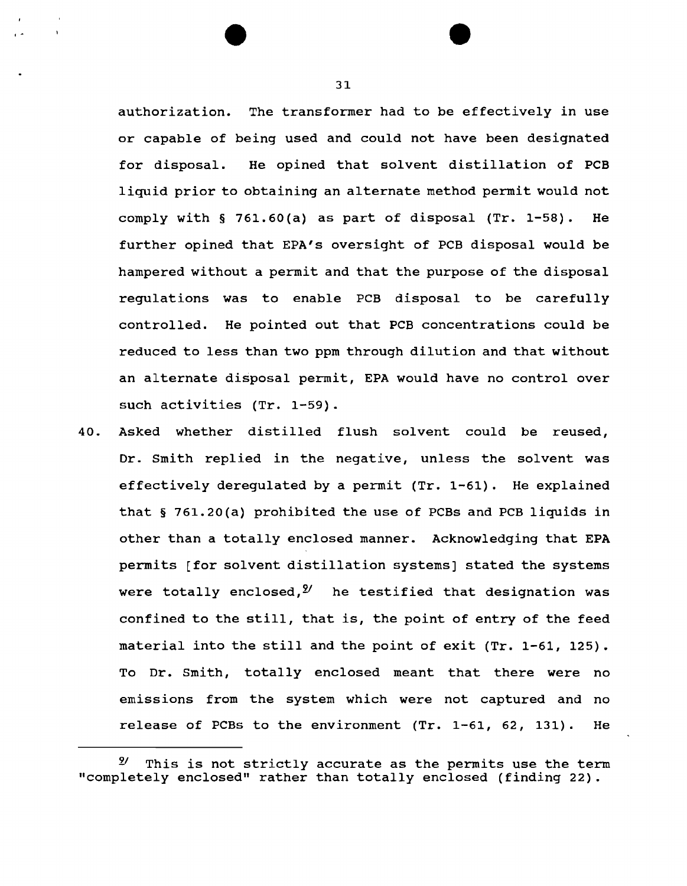authorization. The transformer had to be effectively in use or capable of being used and could not have been designated for disposal. He opined that solvent distillation of PCB liquid prior to obtaining an alternate method permit would not comply with  $\S$  761.60(a) as part of disposal (Tr. 1-58). He further opined that EPA's oversight of PCB disposal would be hampered without a permit and that the purpose of the disposal regulations was to enable PCB disposal to be carefully controlled. He pointed out that PCB concentrations could be reduced to less than two ppm through dilution and that without an alternate disposal permit, EPA would have no control over such activities (Tr. 1-59).

40. Asked whether distilled flush solvent could be reused, Dr. Smith replied in the negative, unless the solvent was effectively deregulated by a permit (Tr. 1-61). He explained that § 761.20(a) prohibited the use of PCBs and PCB liquids in other than a totally enclosed manner. Acknowledging that EPA permits [for solvent distillation systems] stated the systems were totally enclosed,  $y^2$  he testified that designation was confined to the still, that is, the point of entry of the feed material into the still and the point of exit (Tr. 1-61, 125). To Dr. Smith, totally enclosed meant that there were no emissions from the system which were not captured and no release of PCBs to the environment (Tr. 1-61, 62, 131). He

 $\mathcal{L}$ 

*<sup>21</sup>*This is not strictly accurate as the permits use the term "completely enclosed" rather than totally enclosed (finding 22).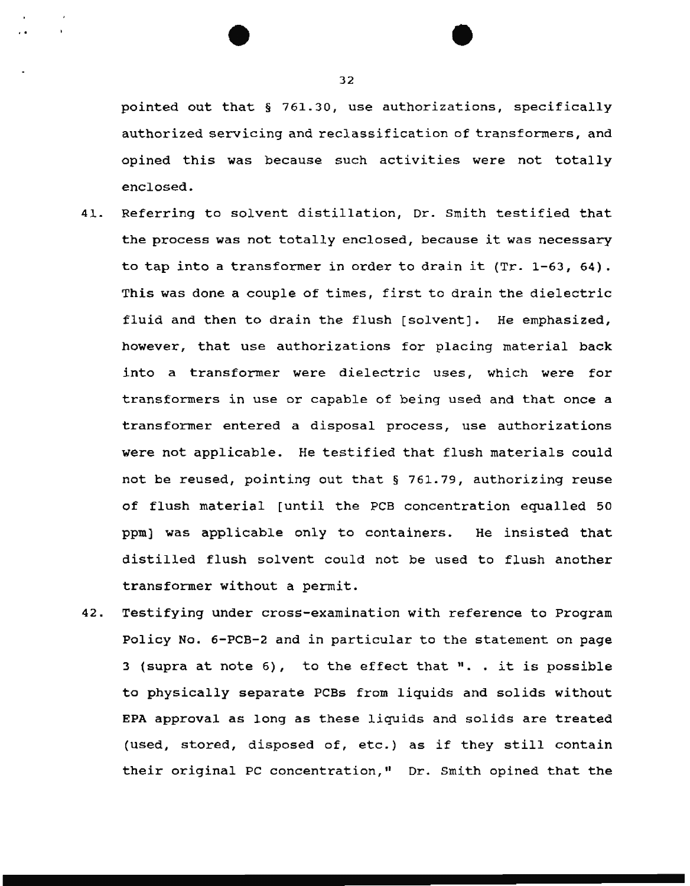pointed out that § 761.30, use authorizations, specifically authorized servicing and reclassification of transformers, and opined this was because such activities were not totally enclosed.

- 41. Referring to solvent distillation, Dr. Smith testified that the process was not totally enclosed, because it was necessary to tap into a transformer in order to drain it (Tr. 1-63, 64). This was done a couple of times, first to drain the dielectric fluid and then to drain the flush [solvent]. He emphasized, however, that use authorizations for placing material back into a transformer were dielectric uses, which were for transformers in use or capable of being used and that once a transformer entered a disposal process, use authorizations were not applicable. He testified that flush materials could not be reused, pointing out that § 761.79, authorizing reuse of flush material [until the PCB concentration equalled 50 ppm) was applicable only to containers. He insisted that distilled flush solvent could not be used to flush another transformer without a permit.
- 42. Testifying under cross-examination with reference to Program Policy No. 6-PCB-2 and in particular to the statement on page 3 (supra at note  $6$ ), to the effect that  $"$ . . it is possible to physically separate PCBs from liquids and solids without EPA approval as long as these liquids and solids are treated (used, stored, disposed of, etc.) as if they still contain their original PC concentration," Dr. Smith opined that the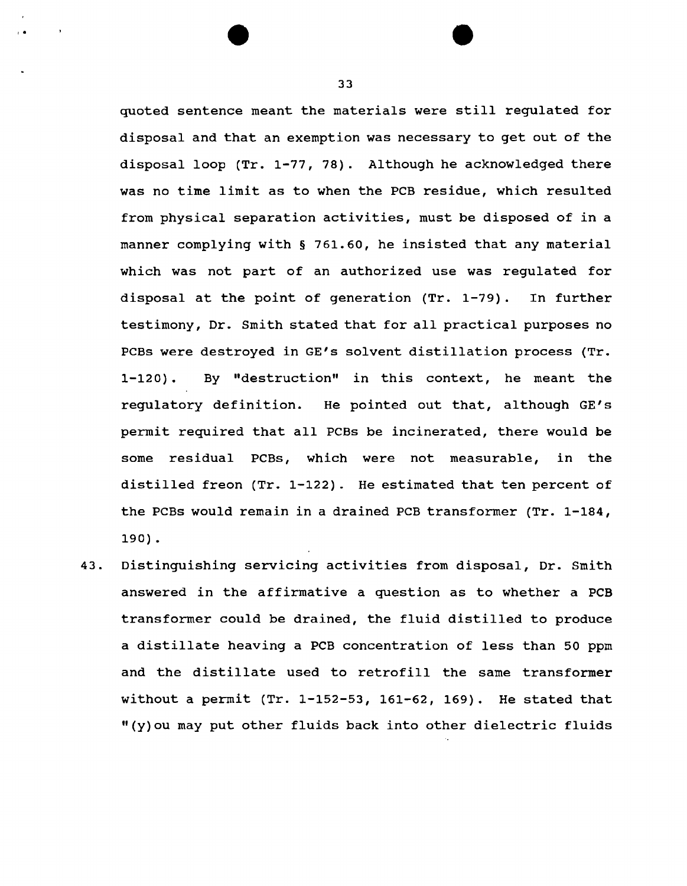quoted sentence meant the materials were still regulated for disposal and that an exemption was necessary to get out of the disposal loop (Tr. 1-77, 78). Although he acknowledged there was no time limit as to when the PCB residue, which resulted from physical separation activities, must be disposed of in a manner complying with § 761.60, he insisted that any material which was not part of an authorized use was regulated for disposal at the point of generation (Tr. 1-79). In further testimony, Dr. Smith stated that for all practical purposes no PCBs were destroyed in GE's solvent distillation process (Tr. 1-120). By "destruction" in this context, he meant the regulatory definition. He pointed out that, although GE's permit required that all PCBs be incinerated, there would be some residual PCBs, which were not measurable, in the distilled freon (Tr. 1-122). He estimated that ten percent of the PCBs would remain in a drained PCB transformer (Tr. 1-184, 190) •

43. Distinguishing servicing activities from disposal, Dr. Smith answered in the affirmative a question as to whether a PCB transformer could be drained, the fluid distilled to produce a distillate heaving a PCB concentration of less than 50 ppm and the distillate used to retrofill the same transformer without a permit (Tr. 1-152-53, 161-62, 169). He stated that "(y)ou may put other fluids back into other dielectric fluids

' .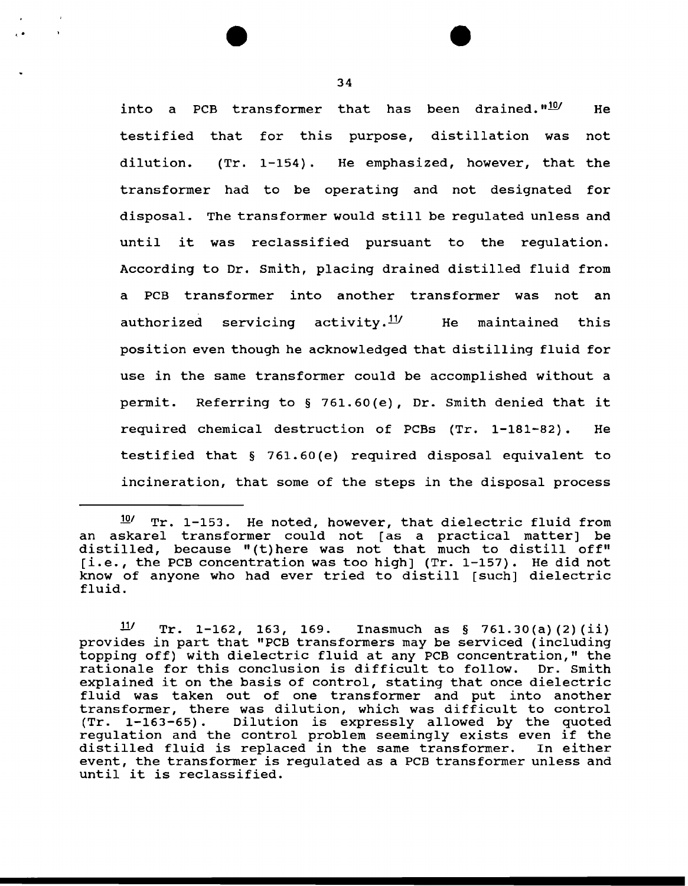into a PCB transformer that has been drained."<sup>10</sup>/ He testified that for this purpose, distillation was not dilution. {Tr. 1-154) . He emphasized, however, that the transformer had to be operating and not designated for disposal. The transformer would still be regulated unless and until it was reclassified pursuant to the regulation. According to Dr. Smith, placing drained distilled fluid from a PCB transformer into another transformer was not an authorized servicing activity.<sup>11/</sup> He maintained this position even though he acknowledged that distilling fluid for use in the same transformer could be accomplished without a permit. Referring to§ 761.60{e), Dr. Smith denied that it required chemical destruction of PCBs (Tr. 1-181-82) . He testified that § 761.60(e) required disposal equivalent to incineration, that some of the steps in the disposal process

'· .

 $10$ <sup>10</sup>/ Tr. 1-153. He noted, however, that dielectric fluid from an askarel transformer could not [as a practical matter] be distilled, because "(t) here was not that much to distill off" [i.e., the PCB concentration was too high] (Tr. 1-157). He did not know of anyone who had ever tried to distill [such] dielectric fluid.

 $11/$  Tr. 1-162, 163, 169. Inasmuch as § 761.30(a)(2)(ii) provides in part that "PCB transformers may be serviced (including topping off) with dielectric fluid at any PCB concentration," the rationale for this conclusion is difficult to follow. Dr. Smith explained it on the basis of control, stating that once dielectric fluid was taken out of one transformer and put into another transformer, there was dilution, which was difficult to control<br>(Tr. 1-163-65). Dilution is expressly allowed by the quoted Dilution is expressly allowed by the quoted regulation and the control problem seemingly exists even if the<br>distilled fluid is replaced in the same transformer. In either distilled fluid is replaced in the same transformer. event, the transformer is regulated as a PCB transformer unless and until it is reclassified.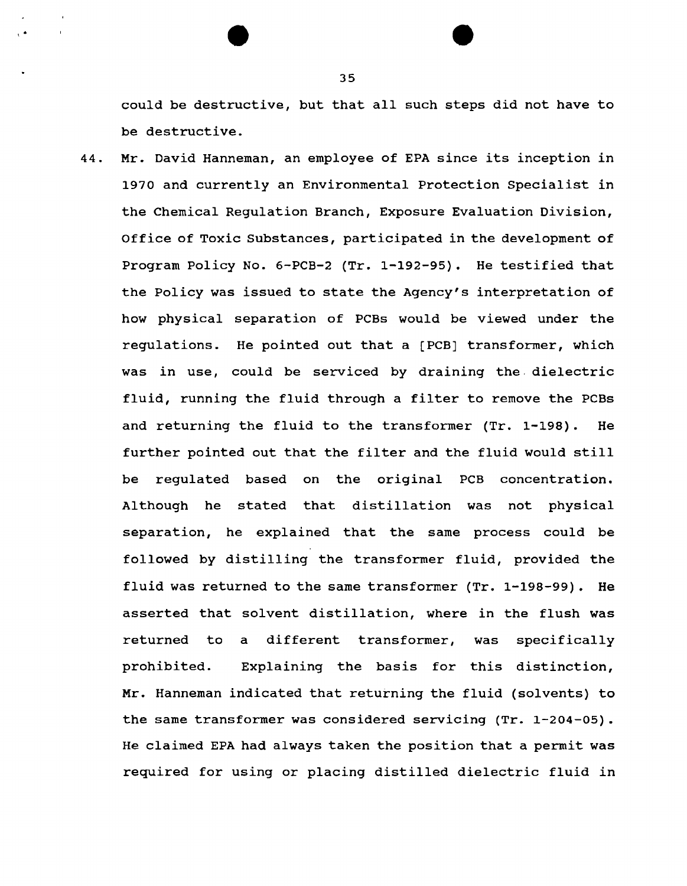could be destructive, but that all such steps did not have to be destructive.

44. Mr. David Hanneman, an employee of EPA since its inception in 1970 and currently an Environmental Protection Specialist in the Chemical Regulation Branch, Exposure Evaluation Division, Office of Toxic Substances, participated in the development of Program Policy No. 6-PCB-2 (Tr. 1-192-95). He testified that the Policy was issued to state the Agency's interpretation of how physical separation of PCBs would be viewed under the regulations. He pointed out that a (PCB] transformer, which was in use, could be serviced by draining the. dielectric fluid, running the fluid through a filter to remove the PCBs and returning the fluid to the transformer (Tr. 1-198). He further pointed out that the filter and the fluid would still be regulated based on the original PCB concentration. Although he stated that distillation was not physical separation, he explained that the same process could be followed by distilling the transformer fluid, provided the fluid was returned to the same transformer (Tr. 1-198-99). He asserted that solvent distillation, where in the flush was returned to a different transformer, was specifically prohibited. Explaining the basis for this distinction, Mr. Hanneman indicated that returning the fluid (solvents) to the same transformer was considered servicing (Tr. 1-204-05). He claimed EPA had always taken the position that a permit was required for using or placing distilled dielectric fluid in

35

 $\cdot$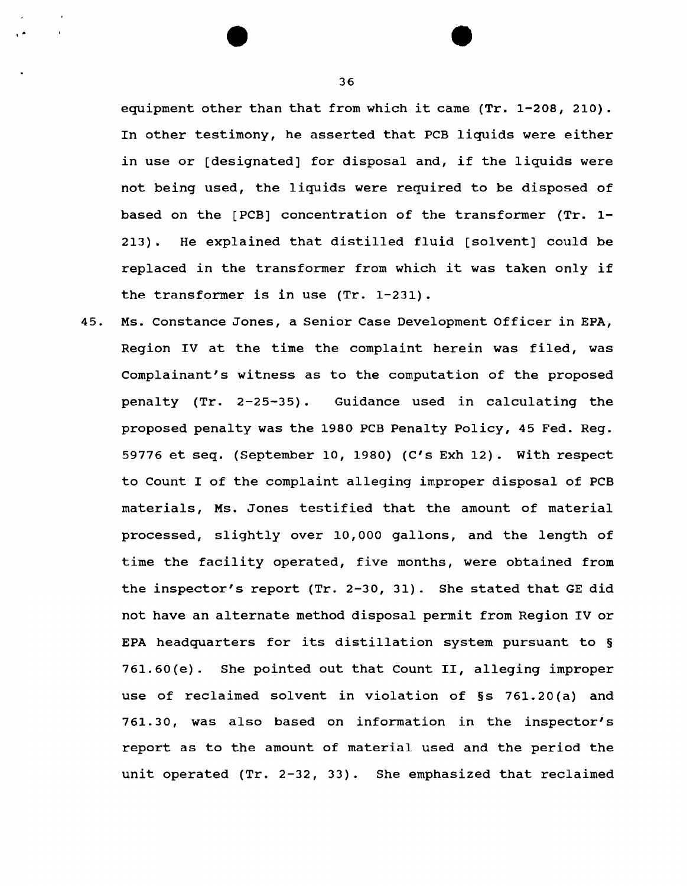equipment other than that from which it came (Tr. 1-208, 210). In other testimony, he asserted that PCB liquids were either in use or [designated] for disposal and, if the liquids were not being used, the liquids were required to be disposed of based on the [PCB] concentration of the transformer (Tr. 1- 213). He explained that distilled fluid [solvent] could be replaced in the transformer from which it was taken only if the transformer is in use (Tr. 1-231).

45. Ms. Constance Jones, a Senior Case Development Officer in EPA, Region IV at the time the complaint herein was filed, was Complainant's witness as to the computation of the proposed penalty  $(Tr. 2-25-35)$ . Guidance used in calculating the proposed penalty was the 1980 PCB Penalty Policy, 45 Fed. Reg. 59776 et seq. (September 10, 1980) (C's Exh 12). With respect to Count I of the complaint alleging improper disposal of PCB materials, Ms. Jones testified that the amount of material processed, slightly over 10,000 gallons, and the length of time the facility operated, five months, were obtained from the inspector's report (Tr. 2-30, 31). She stated that GE did not have an alternate method disposal permit from Region IV or EPA headquarters for its distillation system pursuant to § 761.60(e). She pointed out that count II, alleging improper use of reclaimed solvent in violation of §s 761.20(a) and 761.30, was also based on information in the inspector's report as to the amount of material used and the period the unit operated (Tr. 2-32, 33). She emphasized that reclaimed

I •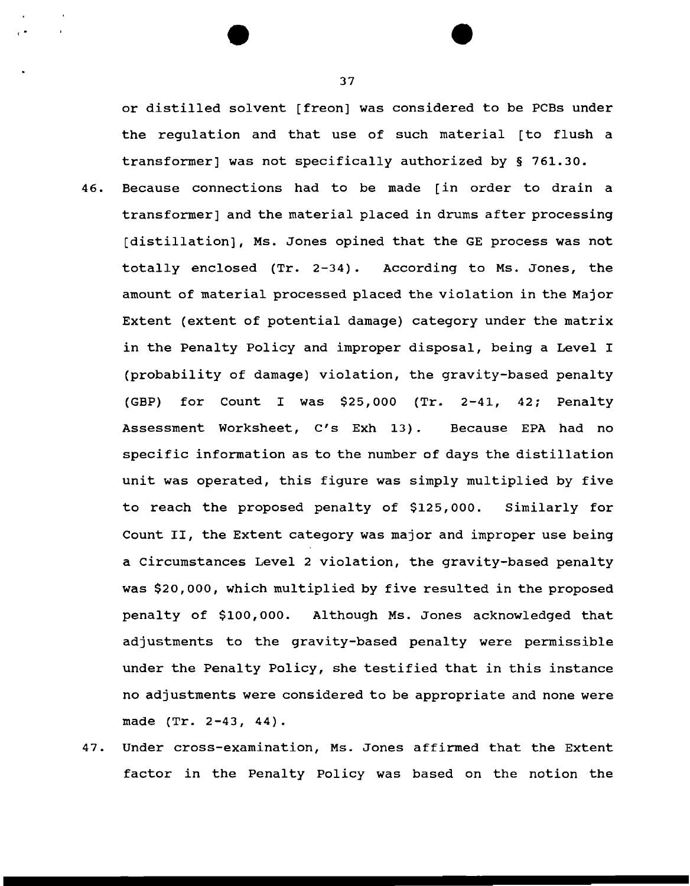or distilled solvent [freon] was considered to be PCBs under the regulation and that use of such material [to flush a transformer] was not specifically authorized by § 761.30.

- 46. Because connections had to be made [in order to drain a transformer] and the material placed in drums after processing [distillation], Ms. Jones opined that the GE process was not totally enclosed (Tr. 2-34). According to Ms. Jones, the amount of material processed placed the violation in the Major Extent (extent of potential damage) category under the matrix in the Penalty Policy and improper disposal, being a Level I (probability of damage) violation, the gravity-based penalty (GBP) for Count I was \$25,000 (Tr. 2-41, 42; Penalty Assessment Worksheet, C's Exh 13). Because EPA had no specific information as to the number of days the distillation unit was operated, this figure was simply multiplied by five to reach the proposed penalty of \$125,000. Similarly for Count II, the Extent category was major and improper use being a Circumstances Level 2 violation, the gravity-based penalty was \$20,000, which multiplied by five resulted in the proposed penalty of \$100,000. Although Ms. Jones acknowledged that adjustments to the gravity-based penalty were permissible under the Penalty Policy, she testified that in this instance no adjustments were considered to be appropriate and none were made (Tr. 2-43, 44).
- 47. Under cross-examination, Ms. Jones affirmed that the Extent factor in the Penalty Policy was based on the notion the

37

 $\begin{pmatrix} 1 \\ 1 \end{pmatrix}$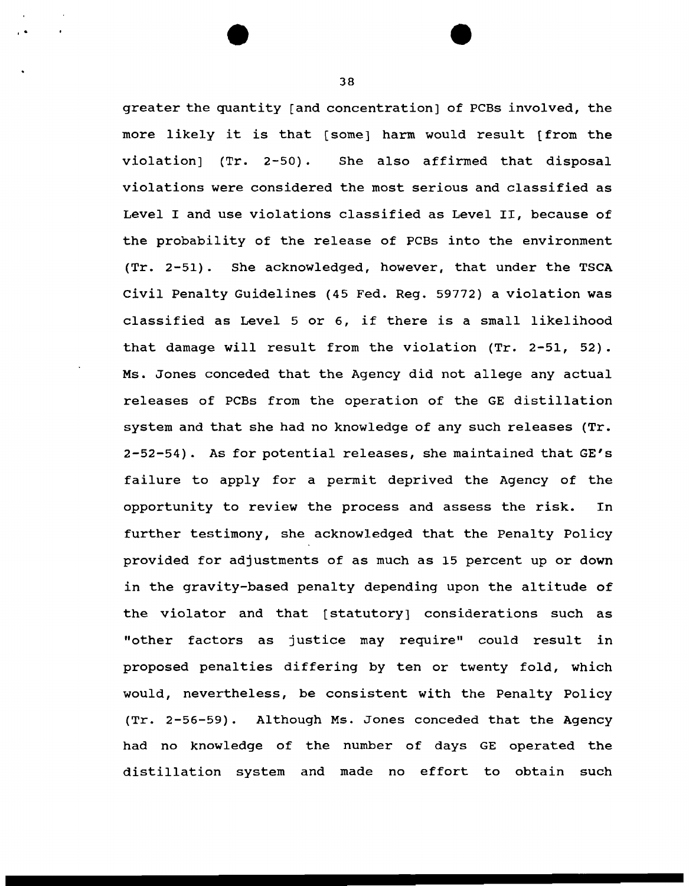greater the quantity [and concentration] of PCBs involved, the more likely it is that [some] harm would result [from the violation] (Tr. 2-50). She also affirmed that disposal violations were considered the most serious and classified as Level I and use violations classified as Level II, because of the probability of the release of PCBs into the environment (Tr. 2-51). She acknowledged, however, that under the TSCA civil Penalty Guidelines (45 Fed. Reg. 59772) a violation was classified as Level 5 or 6, if there is a small likelihood that damage will result from the violation (Tr. 2-51, 52). Ms. Jones conceded that the Agency did not allege any actual releases of PCBs from the operation of the GE distillation system and that she had no knowledge of any such releases (Tr. 2-52-54). As for potential releases, she maintained that GE's failure to apply for a permit deprived the Agency of the opportunity to review the process and assess the risk. In further testimony, she acknowledged that the Penalty Policy provided for adjustments of as much as 15 percent up or down in the gravity-based penalty depending upon the altitude of the violator and that (statutory] considerations such as "other factors as justice may require" could result in proposed penalties differing by ten or twenty fold, which would, nevertheless, be consistent with the Penalty Policy (Tr. 2-56-59). Although Ms. Jones conceded that the Agency had no knowledge of the number of days GE operated the distillation system and made no effort to obtain such

38

' .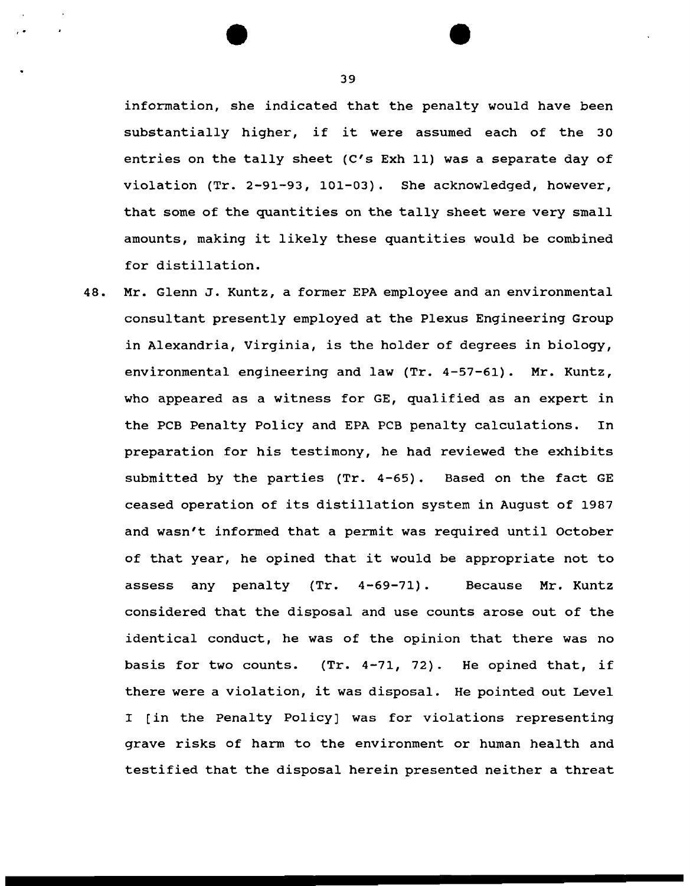information, she indicated that the penalty would have been substantially higher, if it were assumed each of the 30 entries on the tally sheet (C's Exh 11) was a separate day of violation (Tr. 2-91-93, 101-03). She acknowledged, however, that some of the quantities on the tally sheet were very small amounts, making it likely these quantities would be combined for distillation.

48. Mr. Glenn J. Kuntz, a former EPA employee and an environmental consultant presently employed at the Plexus Engineering Group in Alexandria, Virginia, is the holder of degrees in biology, environmental engineering and law (Tr. 4-57-61). Mr. Kuntz, who appeared as a witness for GE, qualified as an expert in the PCB Penalty Policy and EPA PCB penalty calculations. In preparation for his testimony, he had reviewed the exhibits submitted by the parties (Tr. 4-65). Based on the fact GE ceased operation of its distillation system in August of 1987 and wasn't informed that a permit was required until October of that year, he opined that it would be appropriate not to assess any penalty (Tr. 4-69-71). Because Mr. Kuntz considered that the disposal and use counts arose out of the identical conduct, he was of the opinion that there was no basis for two counts. (Tr.  $4-71$ , 72). He opined that, if there were a violation, it was disposal. He pointed out Level I [in the Penalty Policy] was for violations representing grave risks of harm to the environment or human health and testified that the disposal herein presented neither a threat

39

' .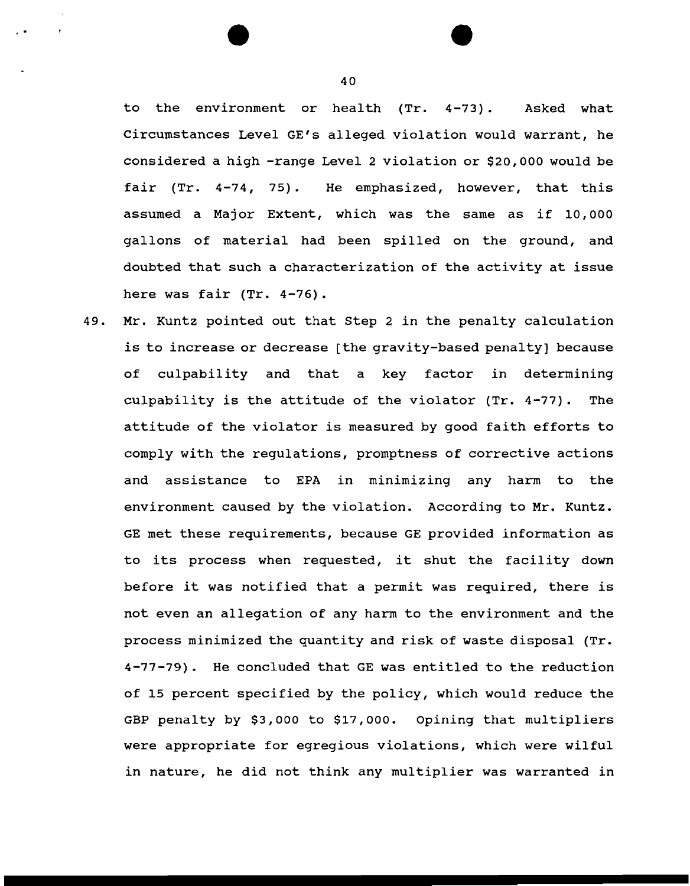to the environment or health (Tr. 4-73). Asked what Circumstances Level GE's alleged violation would warrant, he considered a high -range Level 2 violation or \$20,000 would be fair (Tr. 4-74, 75). He emphasized, however, that this assumed a Major Extent, which was the same as if 10,000 gallons of material had been spilled on the ground, and doubted that such a characterization of the activity at issue here was fair (Tr. 4-76).

49. Mr. Kuntz pointed out that step 2 in the penalty calculation is to increase or decrease [the gravity-based penalty] because of culpability and that a key factor in determining culpability is the attitude of the violator (Tr. 4-77). The attitude of the violator is measured by good faith efforts to comply with the regulations, promptness of corrective actions and assistance to EPA in minimizing any harm to the environment caused by the violation. According to Mr. Kuntz. GE met these requirements, because GE provided information as to its process when requested, it shut the facility down before it was notified that a permit was required, there is not even an allegation of any harm to the environment and the process minimized the quantity and risk of waste disposal (Tr. 4-77-79). He concluded that GE was entitled to the reduction of 15 percent specified by the policy, which would reduce the GBP penalty by \$3,000 to \$17,000. Opining that multipliers were appropriate for egregious violations, which were wilful in nature, he did not think any multiplier was warranted in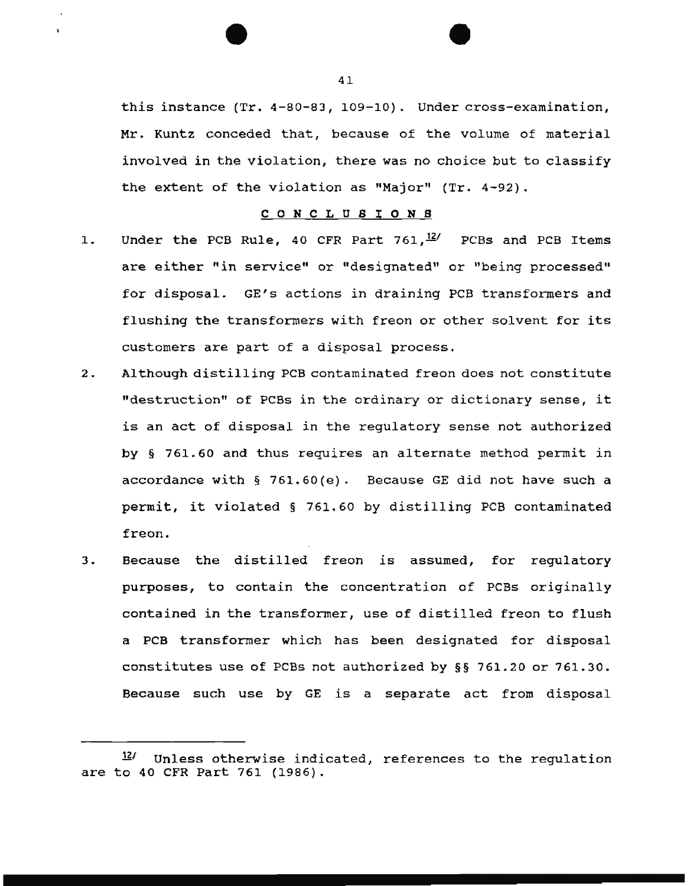this instance (Tr. 4-80-83, 109-10). Under cross-examination, Mr. Kuntz conceded that, because of the volume of material involved in the violation, there was no choice but to classify the extent of the violation as "Major" (Tr. 4-92).

#### C 0 N C L U S I 0 N S

- 1. Under the PCB Rule, 40 CFR Part  $761, \frac{12}{}$  PCBs and PCB Items are either "in service" or "designated" or "being processed" for disposal. GE's actions in draining PCB transformers and flushing the transformers with freon or other solvent for its customers are part of a disposal process.
- 2. Although distilling PCB contaminated freon does not constitute "destruction" of PCBs in the ordinary or dictionary sense, it is an act of disposal in the regulatory sense not authorized by § 761.60 and thus requires an alternate method permit in accordance with § 761.60(e). Because GE did not have such a permit, it violated § 761.60 by distilling PCB contaminated freon.
- 3. Because the distilled freon is assumed, for regulatory purposes, to contain the concentration of PCBs originally contained in the transformer, use of distilled freon to flush a PCB transformer which has been designated for disposal constitutes use of PCBs not authorized by §§ 761.20 or 761.30. Because such use by GE is a separate act from disposal

 $12$ <sup>12</sup> Unless otherwise indicated, references to the regulation are to 40 CFR Part 761 (1986).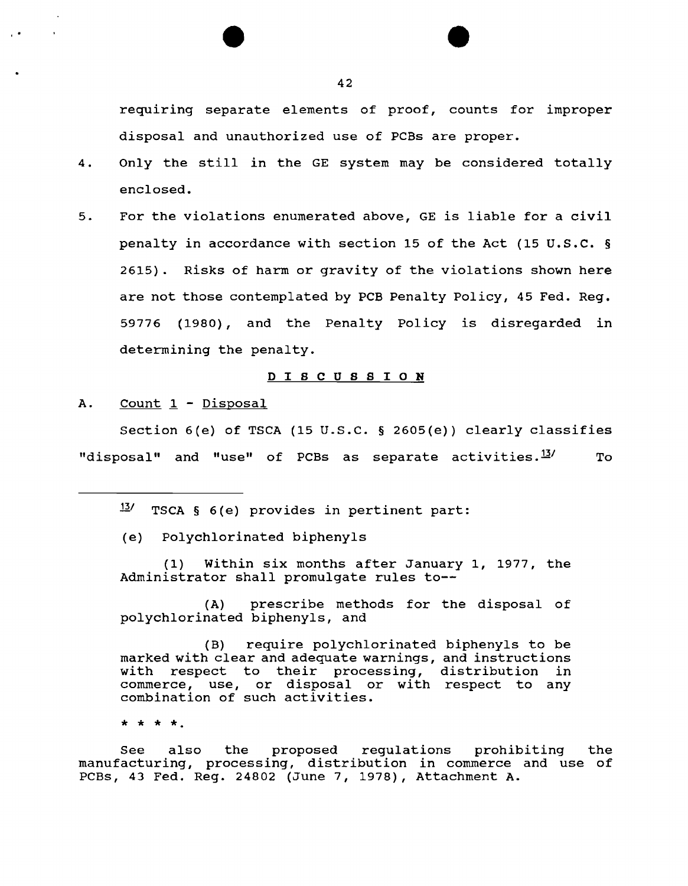requiring separate elements of proof, counts for improper disposal and unauthorized use of PCBs are proper.

- 4. Only the still in the GE system may be considered totally enclosed.
- 5. For the violations enumerated above, GE is liable for a civil penalty in accordance with section 15 of the Act (15 U.S.C. § 2615) . Risks of harm or gravity of the violations shown here are not those contemplated by PCB Penalty Policy, 45 Fed. Reg. 59776 (1980), and the Penalty Policy is disregarded in determining the penalty.

### D I S C U S S I O N

A. Count 1 - Disposal

Section 6(e) of TSCA (15 U.S.C. § 2605(e)) clearly classifies "disposal" and "use" of PCBs as separate activities. $^{13\prime}$  To

13/ TSCA § 6(e) provides in pertinent part:

(e) Polychlorinated biphenyls

(1) Within six months after January 1, 1977, the Administrator shall promulgate rules to--

(A) prescribe methods for the disposal of polychlorinated biphenyls, and

(B) require polychlorinated biphenyls to be marked with clear and adequate warnings, and instructions with respect to their processing, distribution in commerce, use, or disposal or with respect to any combination of such activities.

\* \* \* \*·

See also the proposed regulations prohibiting the manufacturing, processing, distribution in commerce and use of PCBs, 43 Fed. Reg. 24802 (June 7, 1978), Attachment A.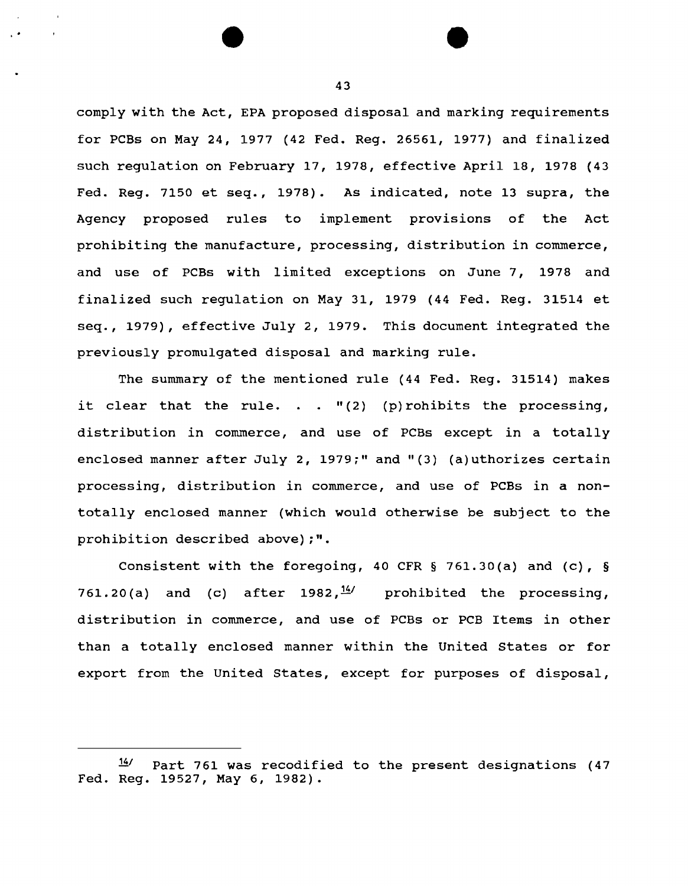comply with the Act, EPA proposed disposal and marking requirements for PCBs on May 24, 1977 (42 Fed. Reg. 26561, 1977) and finalized such regulation on February 17, 1978, effective April 18, 1978 {43 Fed. Reg. 7150 et seq., 1978). As indicated, note 13 supra, the Agency proposed rules to implement provisions of the Act prohibiting the manufacture, processing, distribution in commerce, and use of PCBs with limited exceptions on June 7, 1978 and finalized such regulation on May 31, 1979 (44 Fed. Reg. 31514 et seq., 1979), effective July 2, 1979. This document integrated the previously promulgated disposal and marking rule.

The summary of the mentioned rule (44 Fed. Reg. 31514) makes it clear that the rule. . .  $"$  (2) (p)rohibits the processing, distribution in commerce, and use of PCBs except in a totally enclosed manner after July 2, 1979;" and "(3) (a)uthorizes certain processing, distribution in commerce, and use of PCBs in a nontotally enclosed manner (which would otherwise be subject to the prohibition described above);".

Consistent with the foregoing, 40 CFR § 761.30(a) and (c), § 761.20(a) and (c) after 1982,  $\frac{14}{2}$  prohibited the processing, distribution in commerce, and use of PCBs or PCB Items in other than a totally enclosed manner within the United States or for export from the United States, except for purposes of disposal,

 $14$ <sup>14</sup> Part 761 was recodified to the present designations (47 Fed. Reg. 19527, May 6, 1982).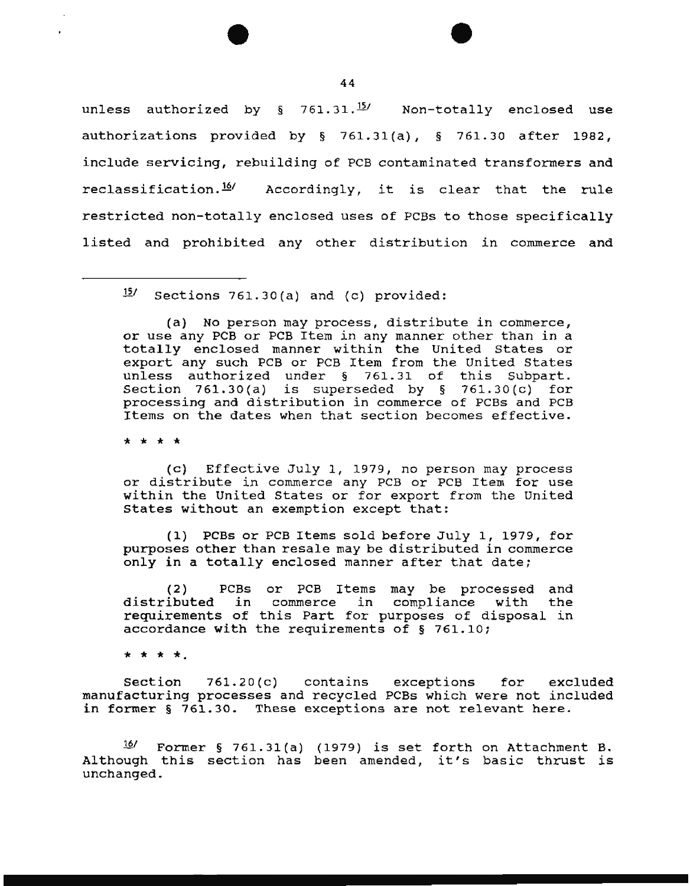unless authorized by  $\S$  761.31.<sup>15</sup>/ Non-totally enclosed use authorizations provided by § 761.31 (a), § 761.30 after 1982, include servicing, rebuilding of PCB contaminated transformers and reclassification.<sup>16/</sup> Accordingly, it is clear that the rule restricted non-totally enclosed uses of PCBS to those specifically listed and prohibited any other distribution in commerce and

15/ Sections 761.30(a) and (c) provided:

(a) No person may process, distribute in commerce, or use any PCB or PCB Item in any manner other than in a totally enclosed manner within the United states or export any such PCB or PCB Item from the United States unless authorized under § 761.31 of this Subpart. Section 761.30(a) is superseded by  $\S$  761.30(c) for processing and distribution in commerce of PCBs and PCB Items on the dates when that section becomes effective.

\* \* \* \*

(c) Effective July 1, 1979, no person may process or distribute in commerce any PCB or PCB Item for use within the United States or for export from the United States without an exemption except that:

{1) PCBs or PCB Items sold before July 1, 1979, for purposes other than resale may be distributed in commerce only in a totally enclosed manner after that date;

(2) PCBs or PCB Items may be processed and distributed in commerce in compliance with the requirements of this Part for purposes of disposal in accordance with the requirements of § 761.10;

\* \* \* \*·

Section 761.2D(c) contains exceptions for excluded manufacturing processes and recycled PCBs which were not included in former § 761.30. These exceptions are not relevant here.

 $16/$  Former § 761.31(a) (1979) is set forth on Attachment B. Although this section has been amended, it's basic thrust is unchanged.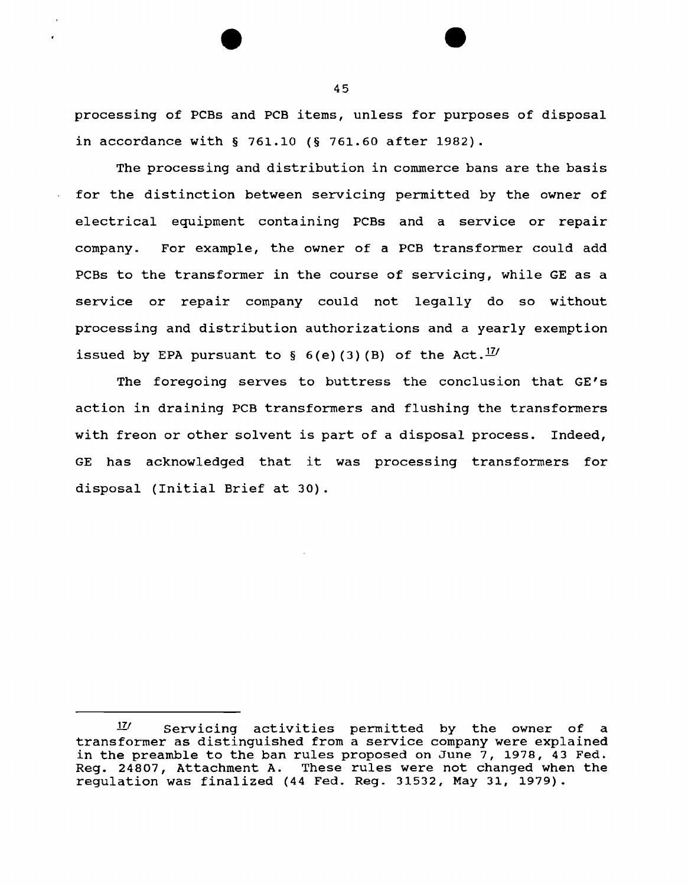processing of PCBs and PCB items, unless for purposes of disposal in accordance with§ 761.10 (§ 761.60 after 1982).

The processing and distribution in commerce bans are the basis for the distinction between servicing permitted by the owner of electrical equipment containing PCBs and a service or repair company. For example, the owner of a PCB transformer could add PCBs to the transformer in the course of servicing, while GE as a service or repair company could not legally do so without processing and distribution authorizations and a yearly exemption issued by EPA pursuant to § 6(e)(3)(B) of the Act.  $^{17}$ 

The foregoing serves to buttress the conclusion that GE's action in draining PCB transformers and flushing the transformers with freon or other solvent is part of a disposal process. Indeed, GE has acknowledged that it was processing transformers for disposal {Initial Brief at 30).

<sup>17&#</sup>x27; Servicing activities permitted by the owner of a transformer as distinguished from a service company were explained in the preamble to the ban rules proposed on June 7, 1978, 43 Fed. Reg. 24807, Attachment A. These rules were not changed when the regulation was finalized (44 Fed. Reg. 31532, May 31, 1979).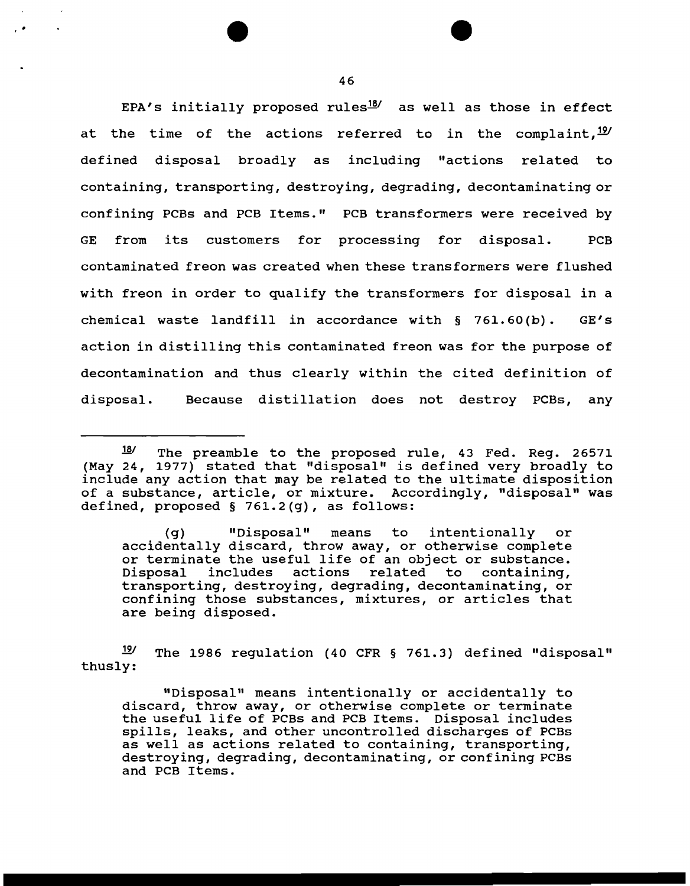EPA's initially proposed rules $^{18}$  as well as those in effect at the time of the actions referred to in the complaint,  $^{19}$ defined disposal broadly as including "actions related to containing, transporting, destroying, degrading, decontaminating or confining PCBs and PCB Items." PCB transformers were received by GE from its customers for processing for disposal. PCB contaminated freon was created when these transformers were flushed with freon in order to qualify the transformers for disposal in a chemical waste landfill in accordance with § 761.60 (b). GE's action in distilling this contaminated freon was for the purpose of decontamination and thus clearly within the cited definition of disposal. Because distillation does not destroy PCBs, any

(g) "Disposal" means to intentionally or accidentally discard, throw away, or otherwise complete or terminate the useful life of an object or substance.<br>Disposal includes actions related to containing, related to containing, transporting, destroying, degrading, decontaminating, or confining those substances, mixtures, or articles that are being disposed.

 $19'$  The 1986 regulation (40 CFR § 761.3) defined "disposal" thusly:

"Disposal" means intentionally or accidentally to discard, throw away, or otherwise complete or terminate the useful life of PCBs and PCB Items. Disposal includes spills, leaks, and other uncontrolled discharges of PCBs as well as actions related to containing, transporting, destroying, degrading, decontaminating, or confining PCBs and PCB Items.

<sup>18/</sup> The preamble to the proposed rule, 43 Fed. Reg. 26571 (May 24, 1977) stated that "disposal" is defined very broadly to include any action that may be related to the ultimate disposition of a substance, article, or mixture. Accordingly, "disposal" was defined, proposed§ 761.2(g), as follows: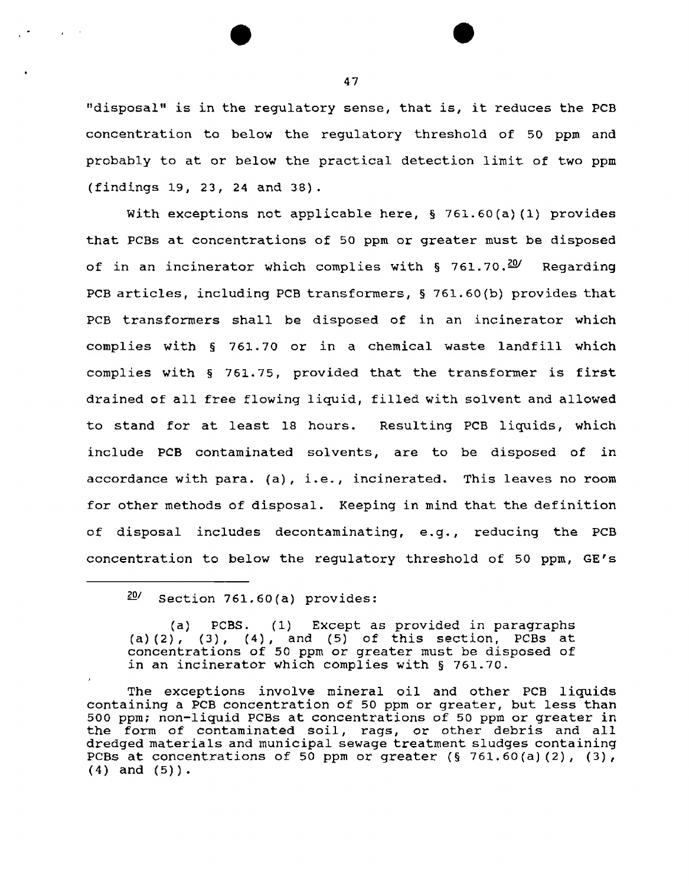"disposal" is in the regulatory sense, that is, it reduces the PCB concentration to below the regulatory threshold of 50 ppm and probably to at or below the practical detection limit of two ppm (findings 19, 23, 24 and 38).

With exceptions not applicable here, § 761.60(a) (1) provides that PCBs at concentrations of 50 ppm or greater must be disposed of in an incinerator which complies with § 761.70.<sup>20</sup> Regarding PCB articles, including PCB transformers, § 761.60(b) provides that PCB transformers shall be disposed of in an incinerator which complies with § 761.70 or in a chemical waste landfill which complies with § 761.75, provided that the transformer is first drained of all free flowing liquid, filled with solvent and allowed to stand for at least 18 hours. Resulting PCB liquids, which include PCB contaminated solvents, are to be disposed of in accordance with para. (a), i.e., incinerated. This leaves no room for other methods of disposal. Keeping in mind that the definition of disposal includes decontaminating, e.g., reducing the PCB concentration to below the regulatory threshold of 50 ppm, GE's

(a) PCBS. (1} Except as provided in paragraphs (a)  $(2)$ ,  $(3)$ ,  $(4)$ , and  $(5)$  of this section, PCBs at concentrations of 50 ppm or greater must be disposed of in an incinerator which complies with § 761.70.

The exceptions involve mineral oil and other PCB liquids containing a PCB concentration of 50 ppm or greater, but less than 500 ppm; non-liquid PCBs at concentrations of so ppm or greater in the form of contaminated soil, rags, or other debris and all dredged materials and municipal sewage treatment sludges containing PCBs at concentrations of 50 ppm or greater  $(§ 761.60(a) (2)$ ,  $(3)$ ,  $(4)$  and  $(5)$ ).

 $20/$  Section 761.60(a) provides: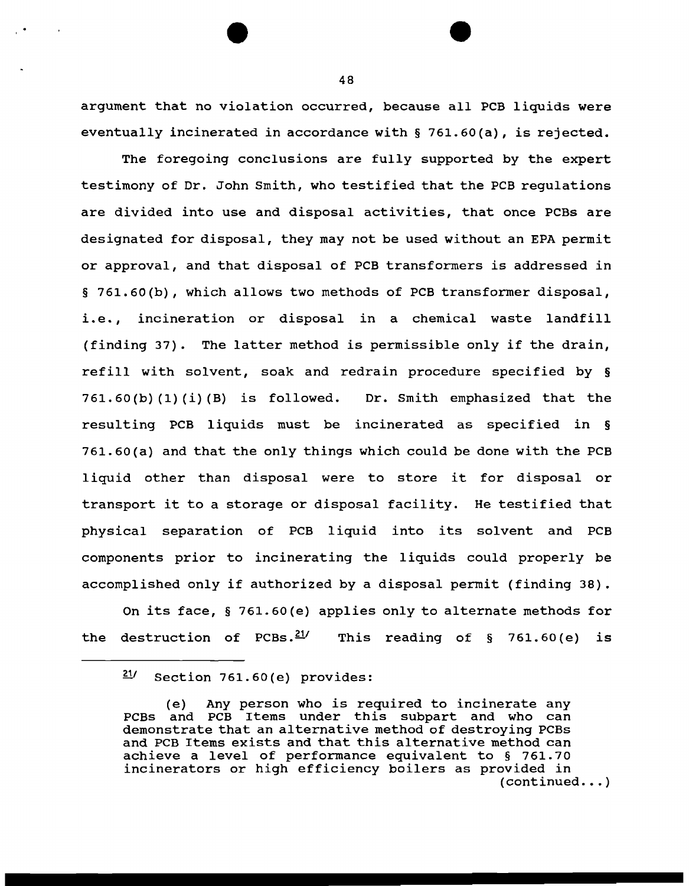argument that no violation occurred, because all PCB liquids were eventually incinerated in accordance with § 761.60(a), is rejected.

The foregoing conclusions are fully supported by the expert testimony of Dr. John Smith, who testified that the PCB regulations are divided into use and disposal activities, that once PCBs are designated for disposal, they may not be used without an EPA permit or approval, and that disposal of PCB transformers is addressed in § 761.60(b), which allows two methods of PCB transformer disposal, i.e., incineration or disposal in a chemical waste landfill (finding 37). The latter method is permissible only if the drain, refill with solvent, soak and redrain procedure specified by §  $761.60(b)$  (1) (i) (B) is followed. Dr. Smith emphasized that the resulting PCB liquids must be incinerated as specified in § 761.60(a) and that the only things which could be done with the PCB 1 iquid other than disposal were to store it for disposal or transport it to a storage or disposal facility. He testified that physical separation of PCB liquid into its solvent and PCB components prior to incinerating the 1 iquids could properly be accomplished only if authorized by a disposal permit (finding 38).

On its face, § 761.60(e) applies only to alternate methods for the destruction of PCBs.<sup>21</sup>/ This reading of § 761.60(e) is

*<sup>£</sup>V* Section 761.60(e) provides:

<sup>(</sup>e) Any person who is required to incinerate any PCBs and PCB Items under this subpart and who can demonstrate that an alternative method of destroying PCBs and PCB Items exists and that this alternative method can achieve a level of performance equivalent to § 761.70 incinerators or high efficiency boilers as provided in  $(continued... )$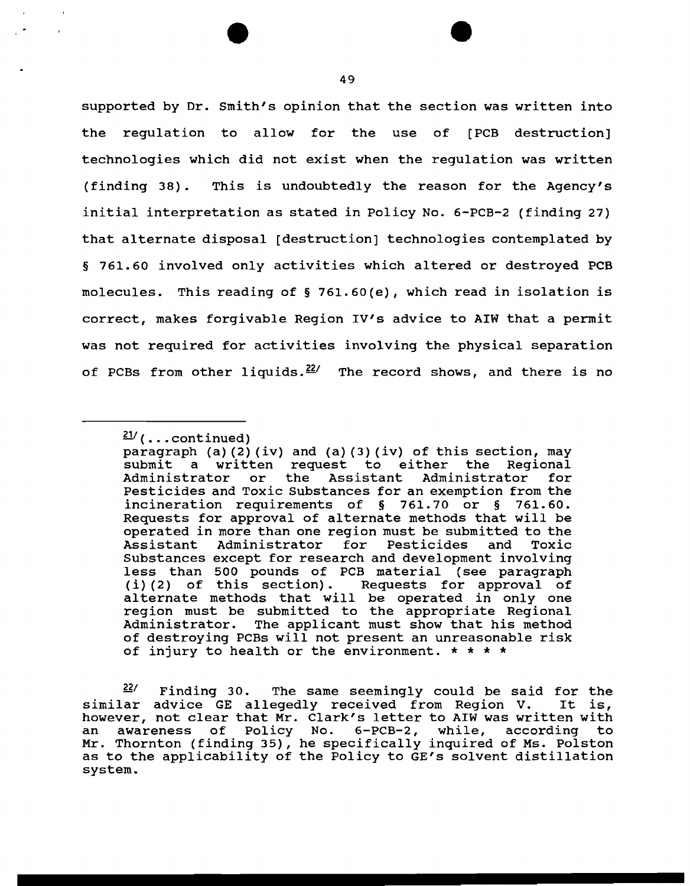supported by Dr. Smith's opinion that the section was written into the regulation to allow for the use of [PCB destruction] technologies which did not exist when the regulation was written (finding 38) . This is undoubtedly the reason for the Agency's initial interpretation as stated in Policy No. 6-PCB-2 (finding 27) that alternate disposal [destruction] technologies contemplated by § 761.60 involved only activities which altered or destroyed PCB molecules. This reading of§ 761.60(e), which read in isolation is correct, makes forgivable Region IV's advice to AIW that a permit was not required for activities involving the physical separation of PCBs from other liquids.  $22/$  The record shows, and there is no

 $\frac{21}{ }$  (... continued)

paragraph (a)  $(2)$  (iv) and  $(a)$   $(3)$  (iv) of this section, may submit a written request to either the Regional<br>Administrator or the Assistant Administrator for Administrator or Pesticides and Toxic Substances for an exemption from the incineration requirements of § 761.70 or § 761.60. Requests for approval of alternate methods that will be operated in more than one region must be submitted to the Administrator Substances except for research and development involving less than 500 pounds of PCB material (see paragraph (i)(2) of this section). Requests for approval of (1)(2) of this section). Requests for approval of alternate methods that will be operated in only one region must be submitted to the appropriate Regional Administrator. The applicant must show that his method of destroying PCBs will not present an unreasonable risk of injury to health or the environment.  $* * * *$ 

<sup>&</sup>lt;sup>22/</sup> Finding 30. The same seemingly could be said for the<br>ar advice GE allegedly received from Region V. It is, similar advice GE allegedly received from Region V. however, not clear that Mr. Clark's letter to AIW was written with an awareness of Policy No. 6-PCB-2, while, according to Mr. Thornton (finding 35), he specifically inquired of Ms. Polston as to the applicability of the Policy to GE's solvent distillation system.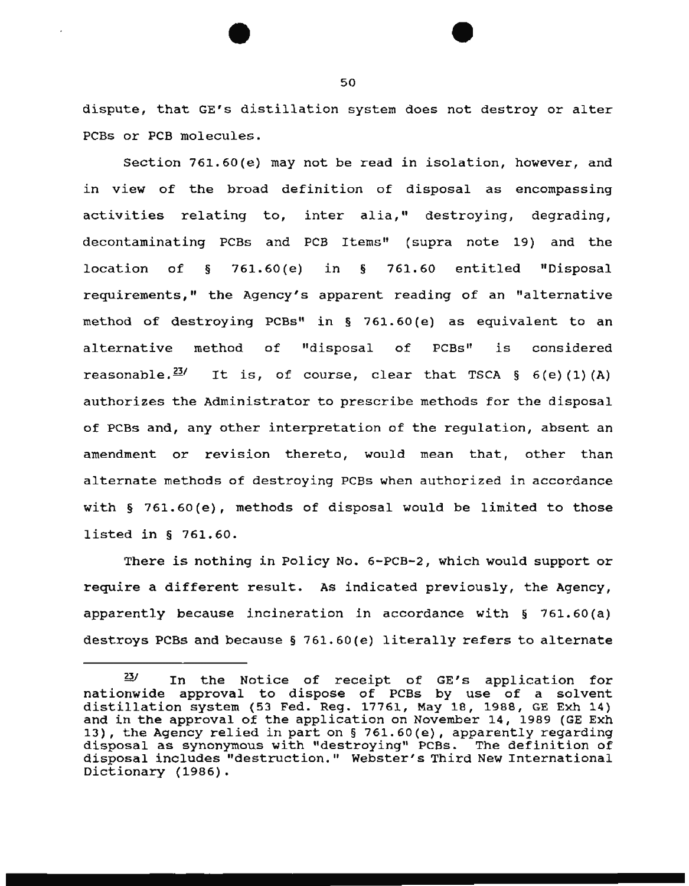dispute, that GE's distillation system does not destroy or alter PCBs or PCB molecules.

Section 761.60(e) may not be read in isolation, however, and in view of the broad definition of disposal as encompassing activities relating to, inter alia," destroying, degrading, decontaminating PCBs and PCB Items" (supra note 19) and the location of § 761.60 (e) in § 761.60 entitled "Disposal requirements," the Agency's apparent reading of an "alternative method of destroying PCBs" in § 761.60(e) as equivalent to an alternative method of "disposal of PCBs" is considered reasonable.  $231$  It is, of course, clear that TSCA § 6(e)(1)(A) authorizes the Administrator to prescribe methods for the disposal of PCBs and, any other interpretation of the regulation, absent an amendment or revision thereto, would mean that, other than alternate methods of destroying PCBs when authorized in accordance with § 761.60(e), methods of disposal would be limited to those listed in § 761.60.

There is nothing in Policy No. 6-PCB-2, which would support or require a different result. As indicated previously, the Agency, apparently because incineration in accordance with § 761.60 (a) destroys PCBs and because  $\S$  761.60(e) literally refers to alternate

 $\frac{23}{5}$  In the Notice of receipt of GE's application for nationwide approval to dispose of PCBs by use of a solvent distillation system (53 Fed. Reg. 17761, May lB, 1988, GE Exh 14) and in the approval of the application on November 14, 1989 (GE Exh 13), the Agency relied in part on§ 761.60(e), apparently regarding disposal as synonymous with "destroying" PCBs. The definition of disposal includes "destruction." Webster's Third New International Dictionary (1986).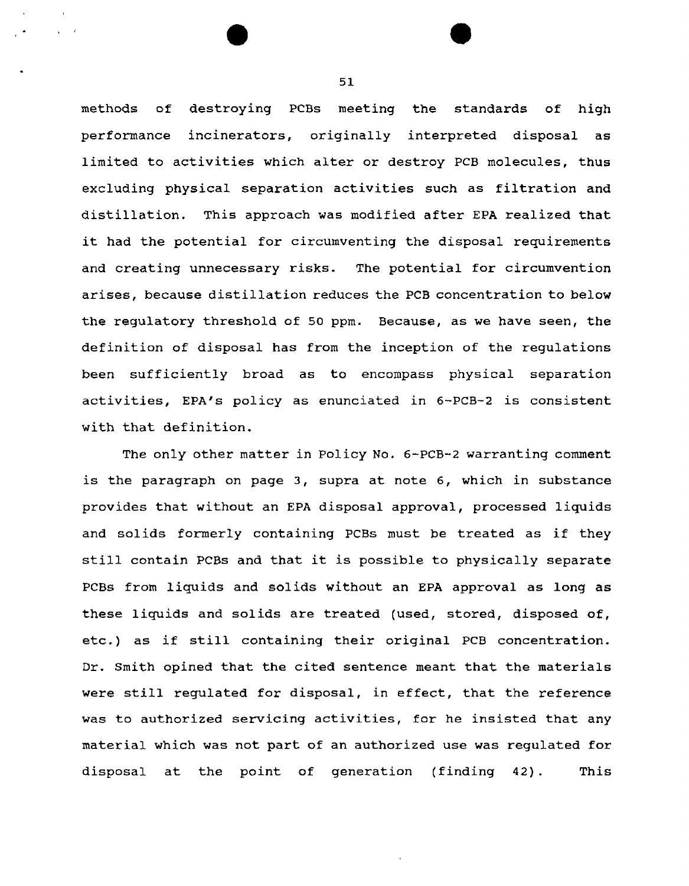methods of destroying PCBs meeting the standards of high performance incinerators, originally interpreted disposal as limited to activities which alter or destroy PCB molecules, thus excluding physical separation activities such as filtration and distillation. This approach was modified after EPA realized that it had the potential for circumventing the disposal requirements and creating unnecessary risks. The potential for circumvention arises, because distillation reduces the PCB concentration to below the regulatory threshold of 50 ppm. Because, as we have seen, the definition of disposal has from the inception of the regulations been sufficiently broad as to encompass physical separation activities, EPA's policy as enunciated in 6-PCB-2 is consistent with that definition.

The only other matter in Policy No. 6-PCB-2 warranting comment is the paragraph on page 3, supra at note 6, which in substance provides that without an EPA disposal approval, processed liquids and solids formerly containing PCBs must be treated as if they still contain PCBs and that it is possible to physically separate PCBs from liquids and solids without an EPA approval as long as these liquids and solids are treated (used, stored, disposed of, etc.) as if still containing their original PCB concentration. Dr. Smith opined that the cited sentence meant that the materials were still regulated for disposal, in effect, that the reference was to authorized servicing activities, for he insisted that any material which was not part of an authorized use was regulated for disposal at the point of generation (finding 42). This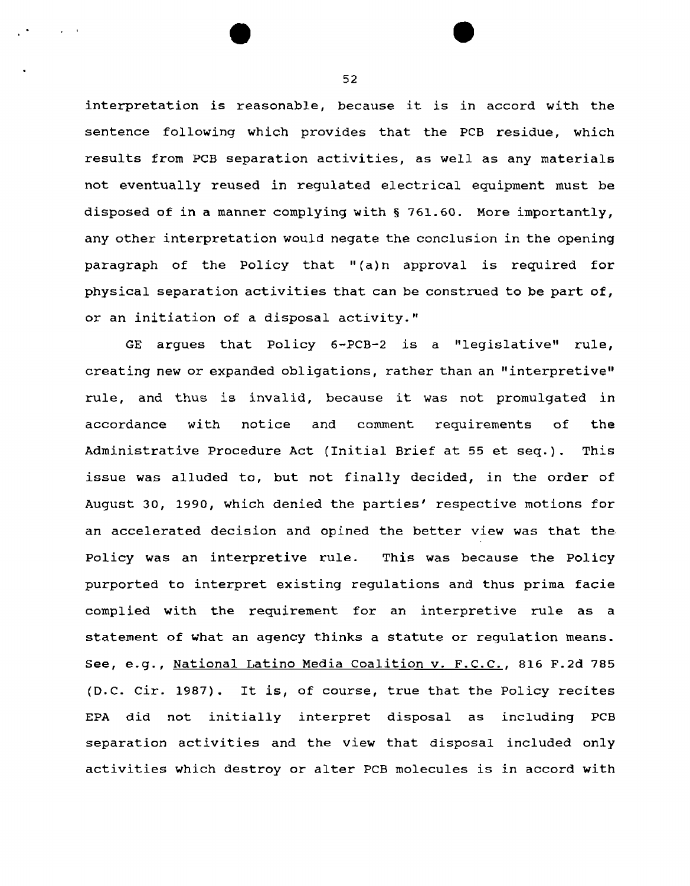interpretation is reasonable, because it is in accord with the sentence following which provides that the PCB residue, which results from PCB separation activities, as well as any materials not eventually reused *in* regulated electrical equipment must be disposed of in a manner complying with § 761.60. More importantly, any other interpretation would negate the conclusion in the opening paragraph of the Policy that "(a)n approval is required for physical separation activities that can be construed to be part of, or an initiation of a disposal activity."

GE argues that Policy 6-PCB-2 is a "legislative" rule, creating new or expanded obligations, rather than an "interpretive" rule, and thus is invalid, because it was not promulgated in accordance with notice and comment requirements of the Administrative Procedure Act (Initial Brief at 55 et seq.). This issue was alluded to, but not finally decided, in the order of August 30, 1990, which denied the parties' respective motions for an accelerated decision and opined the better view was that the Policy was an interpretive rule. This was because the Policy purported to interpret existing regulations and thus prima facie complied with the requirement for an interpretive rule as a statement of what an agency thinks a statute or regulation means. See, e.g., National Latino Media Coalition v. F.C.C., 816 F.2d 785 (D.C. Cir. 1987). It is, of course, true that the Policy recites EPA did not initially interpret disposal as including PCB separation activities and the view that disposal included only activities which destroy or alter PCB molecules is in accord with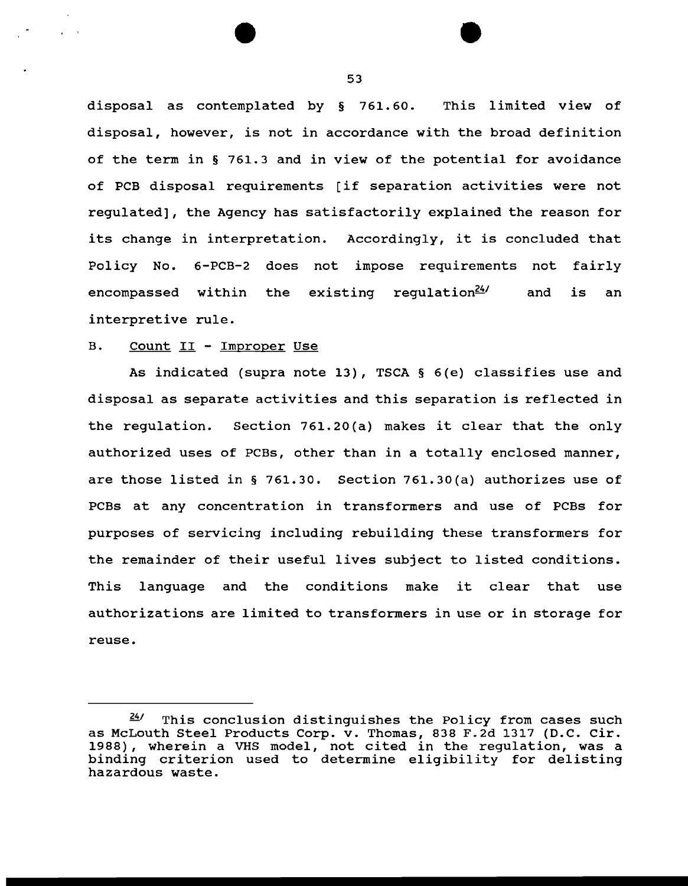disposal as contemplated by § 761.60. This limited view of disposal, however, is not in accordance with the broad definition of the term in § 761.3 and in view of the potential for avoidance of PCB disposal requirements [if separation activities were not regulated], the Agency has satisfactorily explained the reason for its change in interpretation. Accordingly, it is concluded that Policy No. 6-PCB-2 does not impose requirements not fairly encompassed within the existing regulation $24/$  and is an interpretive rule.

### B. Count II - Improper Use

As indicated (supra note 13), TSCA § 6(e) classifies use and disposal as separate activities and this separation is reflected in the regulation. Section 761.20(a) makes it clear that the only authorized uses of PCBs, other than in a totally enclosed manner, are those listed in § 761.30. Section 761.30(a) authorizes use of PCBs at any concentration in transformers and use of PCBs for purposes of servicing including rebuilding these transformers for the remainder of their useful lives subject to listed conditions. This language and the conditions make it clear that use authorizations are limited to transformers in use or in storage for reuse.

 $24$  This conclusion distinguishes the Policy from cases such as McLouth Steel Products Corp. v. Thomas, 838 F.2d 1317 (D.C. Cir. 1988), wherein a VHS model, not cited in the regulation, was a binding criterion used to determine eligibility for delisting hazardous waste.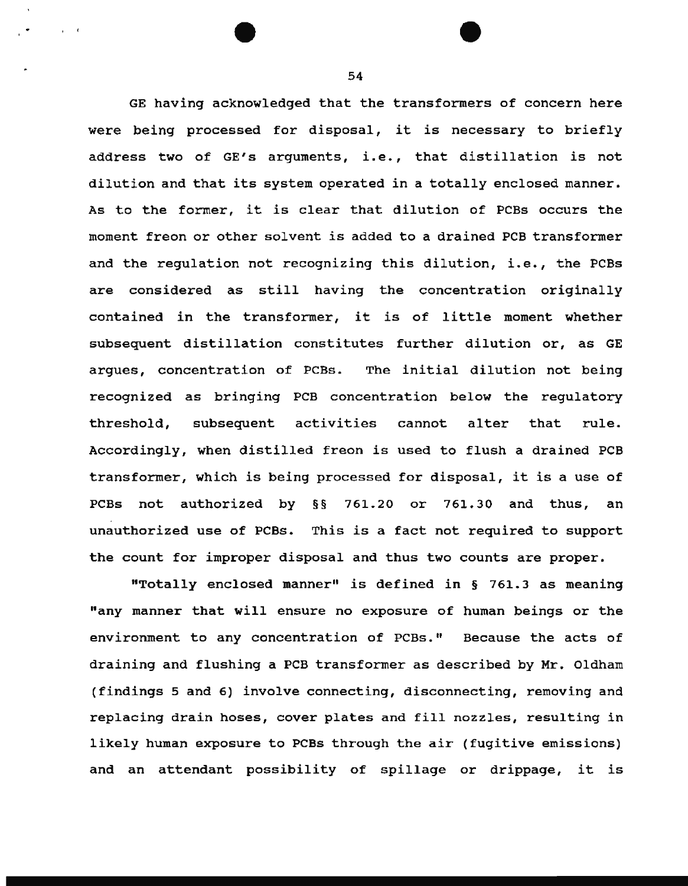GE having acknowledged that the transformers of concern here were being processed for disposal, it is necessary to briefly address two of GE's arguments, i.e., that distillation is not dilution and that its system operated in a totally enclosed manner. As to the former, it is clear that dilution of PCBs occurs the moment freon or other solvent is added to a drained PCB transformer and the regulation not recognizing this dilution, i.e., the PCBs are considered as still having the concentration originally contained in the transformer, it is of little moment whether subsequent distillation constitutes further dilution or, as GE argues, concentration of PCBs. The initial dilution not being recognized as bringing PCB concentration below the regulatory threshold, subsequent activities cannot alter that rule. Accordingly, when distilled freon is used to flush a drained PCB transformer, which is being processed for disposal, it is a use of PCBs not authorized by §§ 761.20 or 761.30 and thus, an unauthorized use of PCBs. This is a fact not required to support the count for improper disposal and thus two counts are proper.

"Totally enclosed manner" is defined in § 761.3 as meaning "any manner that will ensure no exposure of human beings or the environment to any concentration of PCBs." Because the acts of draining and flushing a PCB transformer as described by Mr. Oldham (findings 5 and 6) involve connecting, disconnecting, removing and replacing drain hoses, cover plates and fill nozzles, resulting in likely human exposure to PCBS through the air (fugitive emissions) and an attendant possibility of spillage or drippage, it is

54

 $\mathbf{r} = \mathbf{t}$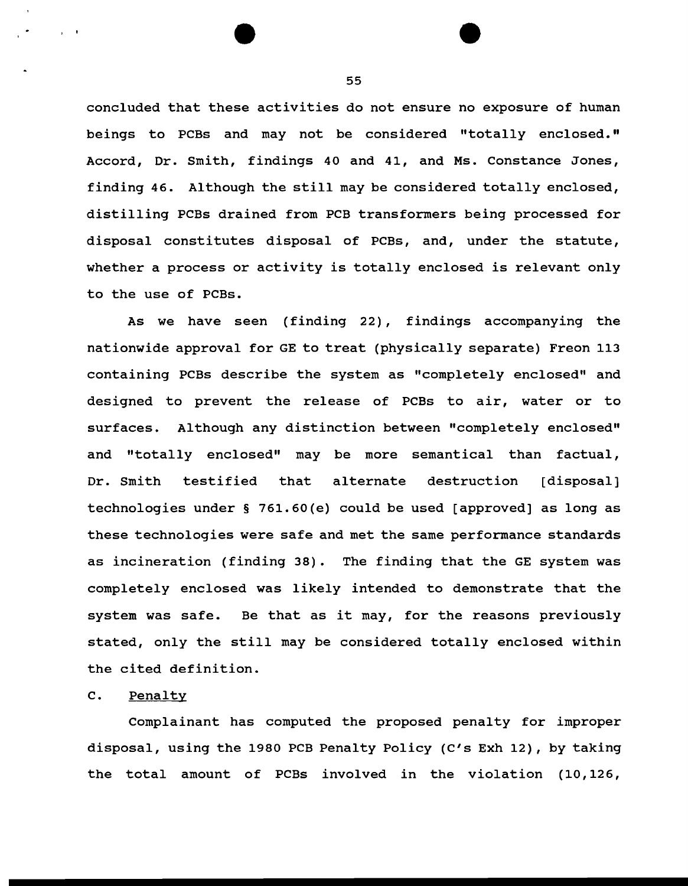concluded that these activities do not ensure no exposure of human beings to PCBs and may not be considered "totally enclosed." Accord, Dr. Smith, findings 40 and 41, and Ms. Constance Jones, finding 46. Although the still may be considered totally enclosed, distilling PCBs drained from PCB transformers being processed for disposal constitutes disposal of PCBs, and, under the statute, whether a process or activity is totally enclosed is relevant only to the use of PCBs.

As we have seen (finding 22) , findings accompanying the nationwide approval for GE to treat (physically separate) Freon 113 containing PCBs describe the system as "completely enclosed" and designed to prevent the release of PCBs to air, water or to surfaces. Although any distinction between "completely enclosed" and "totally enclosed" may be more semantical than factual, Dr. Smith testified that alternate destruction [disposal] technologies under§ 761.60{e) could be used [approved] as long as these technologies were safe and met the same performance standards as incineration (finding 38). The finding that the GE system was completely enclosed was likely intended to demonstrate that the system was safe. Be that as it may, for the reasons previously stated, only the still may be considered totally enclosed within the cited definition.

## c. Penalty

 $\cdot$   $\cdot$ 

Complainant has computed the proposed penalty for improper disposal, using the 1980 PCB Penalty Policy {C's Exh 12), by taking the total amount of PCBs involved in the violation (10,126,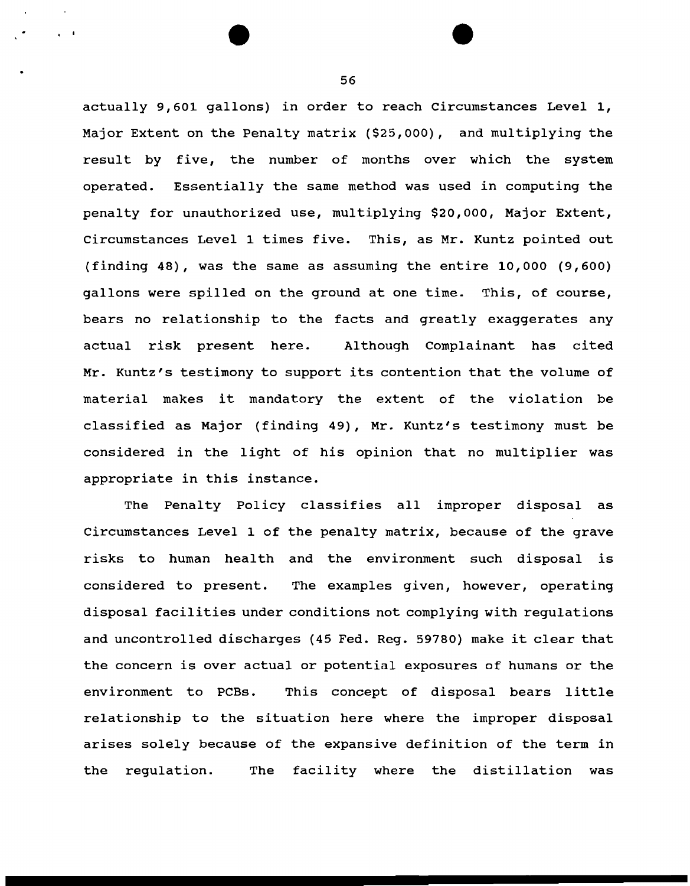actually 9,601 gallons) in order to reach Circumstances Level 1, Major Extent on the Penalty matrix (\$25,000), and multiplying the result by five, the number of months over which the system operated. Essentially the same method was used in computing the penalty for unauthorized use, multiplying \$20,000, Major Extent, Circumstances Level 1 times five. This, as Mr. Kuntz pointed out (finding 48), was the same as assuming the entire 10,000 (9,600) gallons were spilled on the ground at one time. This, of course, bears no relationship to the facts and greatly exaggerates any actual risk present here. Although Complainant has cited Mr. Kuntz's testimony to support its contention that the volume of material makes it mandatory the extent of the violation be classified as Major (finding 49), Mr. Kuntz's testimony must be considered in the light of his opinion that no multiplier was appropriate in this instance.

The Penalty Policy classifies all improper disposal as Circumstances Level 1 of the penalty matrix, because of the grave risks to human health and the environment such disposal is considered to present. The examples given, however, operating disposal facilities under conditions not complying with regulations and uncontrolled discharges (45 Fed. Reg. 59780) make it clear that the concern is over actual or potential exposures of humans or the environment to PCBs. This concept of disposal bears little relationship to the situation here where the improper disposal arises solely because of the expansive definition of the term in the regulation. The facility where the distillation was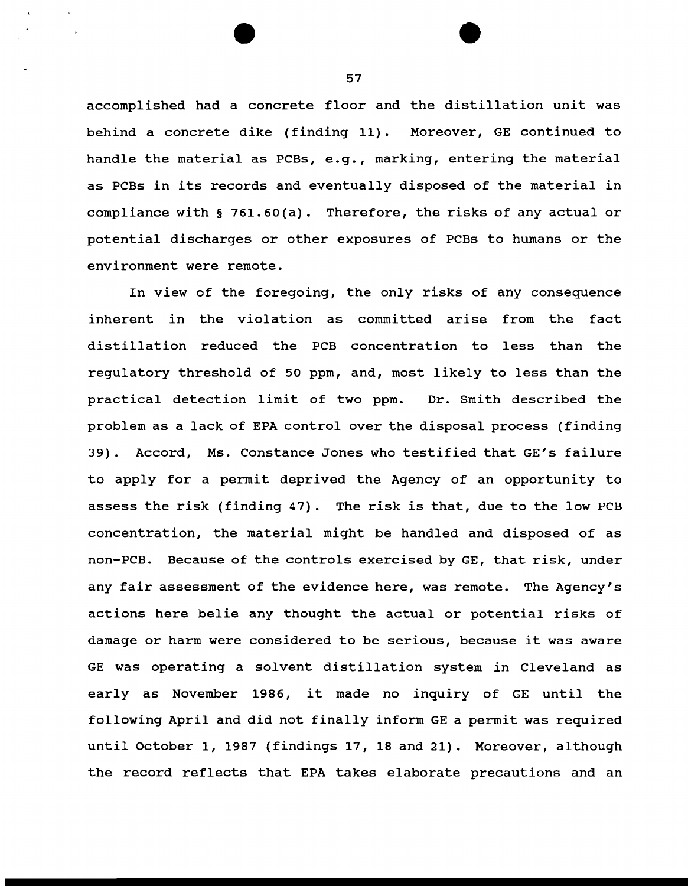accomplished had a concrete floor and the distillation unit was behind a concrete dike (finding 11). Moreover, GE continued to handle the material as PCBs, e.g., marking, entering the material as PCBs in its records and eventually disposed of the material in compliance with§ 761.60(a). Therefore, the risks of any actual or potential discharges or other exposures of PCBs to humans or the environment were remote.

In view of the foregoing, the only risks of any consequence inherent in the violation as committed arise from the fact distillation reduced the PCB concentration to less than the regulatory threshold of 50 ppm, and, most likely to less than the practical detection limit of two ppm. Dr. Smith described the problem as a lack of EPA control over the disposal process (finding 39). Accord, Ms. Constance Jones who testified that GE's failure to apply for a permit deprived the Agency of an opportunity to assess the risk (finding 47). The risk is that, due to the low PCB concentration, the material might be handled and disposed of as non-PCB. Because of the controls exercised by GE, that risk, under any fair assessment of the evidence here, was remote. The Agency's actions here belie any thought the actual or potential risks of damage or harm were considered to be serious, because it was aware GE was operating a solvent distillation system in Cleveland as early as November 1986, it made no inquiry of GE until the following April and did not finally inform GE a permit was required until October 1, 1987 (findings 17, 18 and 21). Moreover, although the record reflects that EPA takes elaborate precautions and an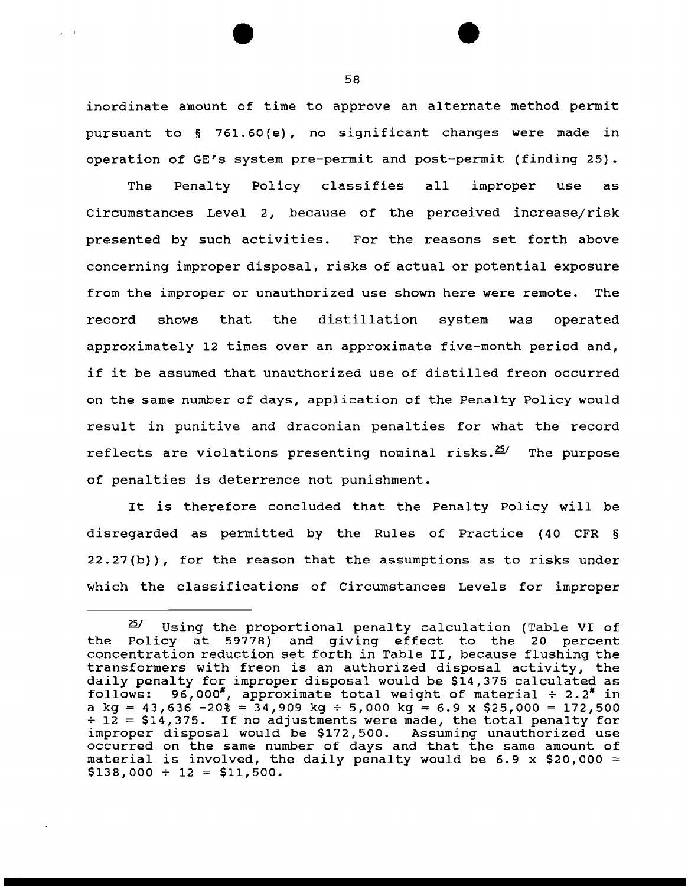inordinate amount of time to approve an alternate method permit pursuant to § 761.60 (e), no significant changes were made in operation of GE's system pre-permit and post-permit (finding 25).

The Penalty Policy classifies all improper use as Circumstances Level 2, because of the perceived increase/risk presented by such activities. For the reasons set forth above concerning improper disposal, risks of actual or potential exposure from the improper or unauthorized use shown here were remote. The record shows that the distillation system was operated approximately 12 times over an approximate five-month period and, if it be assumed that unauthorized use of distilled freon occurred on the same number of days, application of the Penalty Policy would result in punitive and draconian penalties for what the record reflects are violations presenting nominal risks. $^{25/}$  The purpose of penalties is deterrence not punishment.

It is therefore concluded that the Penalty Policy will be disregarded as permitted by the Rules of Practice (40 CFR § 22.27(b)), for the reason that the assumptions as to risks under which the classifications of Circumstances Levels for improper

 $\mathbf{r} = \mathbf{r}$ 

 $25/$  Using the proportional penalty calculation (Table VI of the Policy at 59778) and giving effect to the 20 percent concentration reduction set forth in Table II, because flushing the transformers with freon is an authorized disposal activity, the daily penalty for improper disposal would be \$14,375 calculated as follows: 96,000\*, approximate total weight of material  $\div$  2.2\* in 96,000\*, approximate total weight of material  $\div$  2.2\* in a kg = 43,636 -20% = 34,909 kg ÷ 5,000 kg = 6.9 x \$25,000 = 172,500  $\div$  12 = \$14,375. If no adjustments were made, the total penalty for improper disposal would be \$172,500. Assuming unauthorized use occurred on the same number of days and that the same amount of material is involved, the daily penalty would be 6.9 x \$20,000  $=$  $$138,000 \div 12 = $11,500.$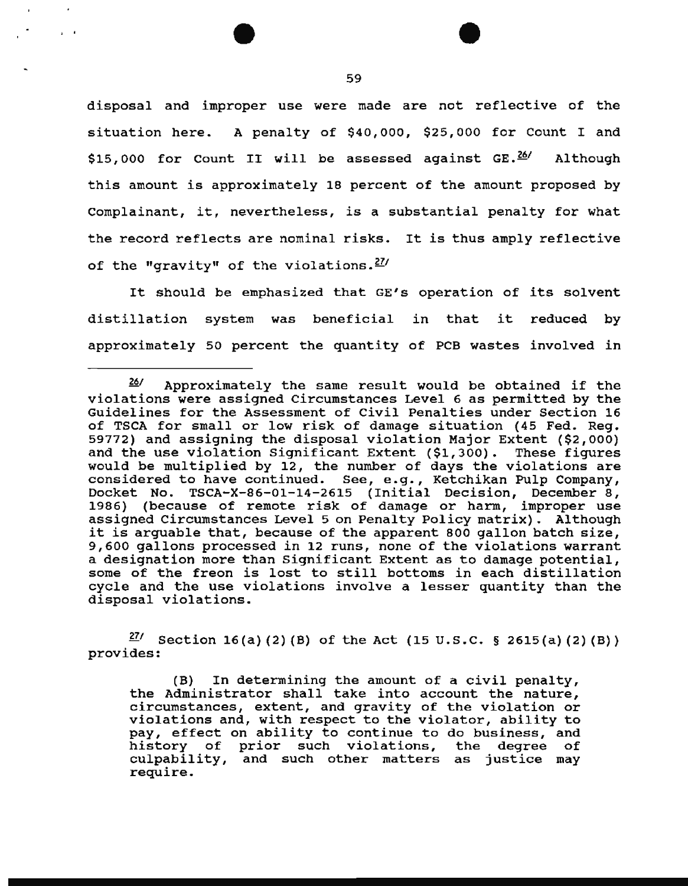disposal and improper use were made are not reflective of the situation here. A penalty of \$40,000, \$25,000 for Count I and \$15,000 for Count II will be assessed against  $GE.\n<sup>267</sup>$  Although this amount is approximately 18 percent of the amount proposed by Complainant, it, nevertheless, is a substantial penalty for what the record reflects are nominal risks. It is thus amply reflective of the "gravity" of the violations. *271* 

It should be emphasized that GE's operation of its solvent distillation system was beneficial in that it reduced by approximately 50 percent the quantity of PCB wastes involved in

*<sup>271</sup>*section 16(a) (2) (B) of the Act (15 u.s.c. § 2615(a) (2) (B)) provides:

(B) In determining the amount of a civil penalty, the Administrator shall take into account the nature, circumstances, extent, and gravity of the violation or violations and, with respect to the violator, ability to pay, effect on ability to continue to do business, and<br>history of prior such violations, the degree of of prior such violations, culpability, and such other matters as justice may require.

' '

*<sup>261</sup>*Approximately the same result would be obtained if the violations were assigned Circumstances Level 6 as permitted by the Guidelines for the Assessment of Civil Penalties under Section 16 of TSCA for small or low risk of damage situation (45 Fed. Reg. 59772) and assigning the disposal violation Major Extent (\$2,000) and the use violation Significant Extent (\$1,300). These figures would be multiplied by 12, the number of days the violations are considered to have continued. See, e.g., Ketchikan Pulp Company, Docket No. TSCA-X-86-01-14-2615 (Initial Decision, December 8, 1986) (because of remote risk of damage or harm, improper use assigned Circumstances Level 5 on Penalty Policy matrix). Although it is arguable that, because of the apparent BOO gallon batch size, 9,600 gallons processed in 12 runs, none of the violations warrant a designation more than Significant Extent as to damage potential, some of the freon is lost to still bottoms in each distillation cycle and the use violations involve a lesser quantity than the disposal violations.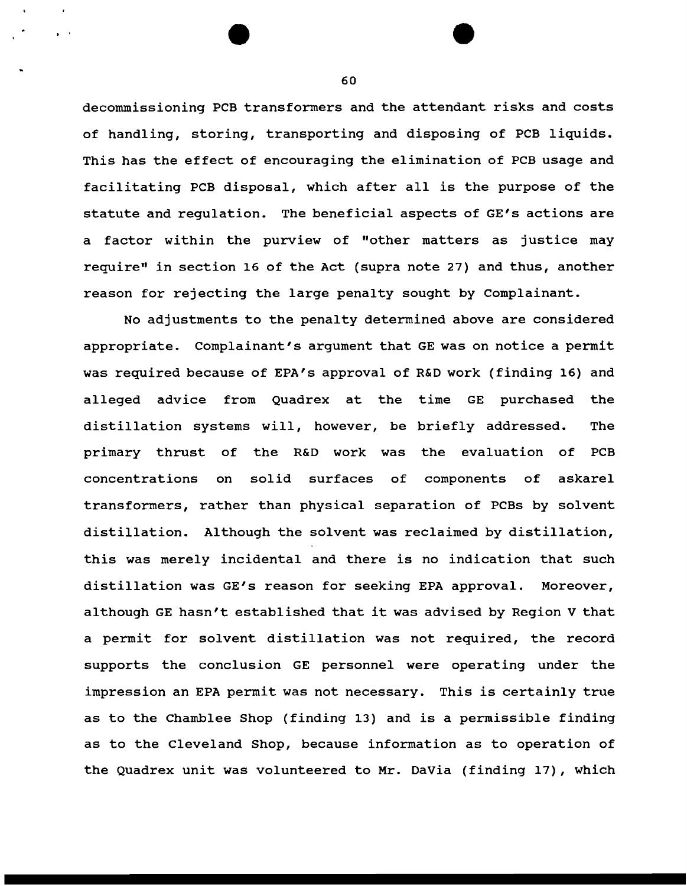decommissioning PCB transformers and the attendant risks and costs of handling, storing, transporting and disposing of PCB liquids. This has the effect of encouraging the elimination of PCB usage and facilitating PCB disposal, which after all is the purpose of the statute and regulation. The beneficial aspects of GE's actions are a factor within the purview of "other matters as justice may require'' in section 16 of the Act (supra note 27) and thus, another reason for rejecting the large penalty sought by Complainant.

No adjustments to the penalty determined above are considered appropriate. Complainant's argument that GE was on notice a permit was required because of EPA's approval of R&D work (finding 16) and alleged advice from Quadrex at the time GE purchased the distillation systems will, however, be briefly addressed. The primary thrust of the R&D work was the evaluation of PCB concentrations on solid surfaces of components of askarel transformers, rather than physical separation of PCBs by solvent distillation. Although the solvent was reclaimed by distillation, this was merely incidental and there is no indication that such distillation was GE's reason for seeking EPA approval. Moreover, although GE hasn't established that it was advised by Region V that a permit for solvent distillation was not required, the record supports the conclusion GE personnel were operating under the impression an EPA permit was not necessary. This is certainly true as to the Chamblee Shop (finding 13) and is a permissible finding as to the Cleveland Shop, because information as to operation of the Quadrex unit was volunteered to Mr. DaVia (finding 17), which

60

..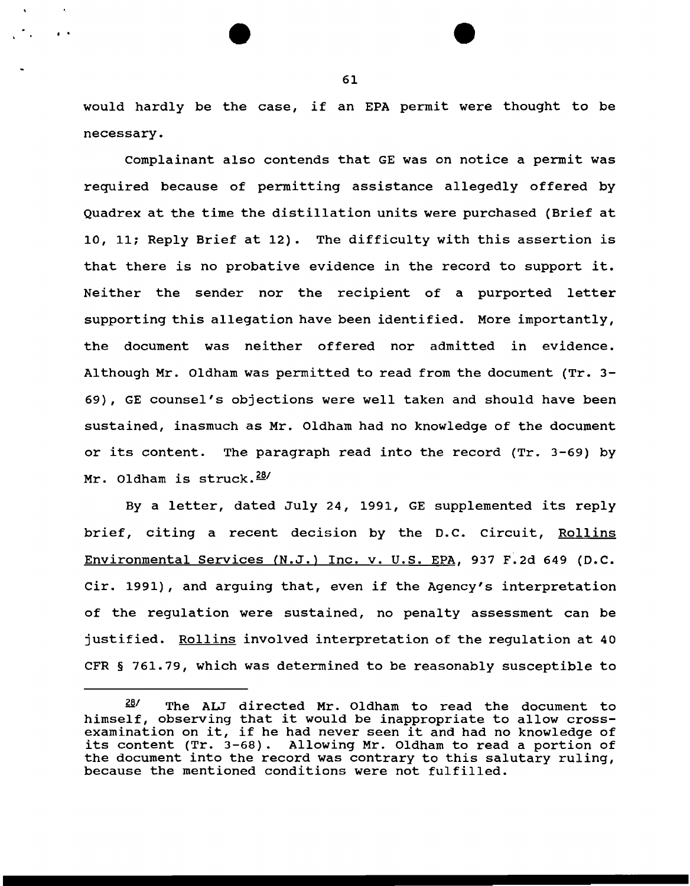would hardly be the case, if an EPA permit were thought to be necessary.

complainant also contends that GE was on notice a permit was required because of permitting assistance allegedly offered by Quadrex at the time the distillation units were purchased (Brief at 10, 11; Reply Brief at 12). The difficulty with this assertion is that there is no probative evidence in the record to support it. Neither the sender nor the recipient of a purported letter supporting this allegation have been identified. More importantly, the document was neither offered nor admitted in evidence. Although Mr. Oldham was permitted to read from the document (Tr. 3- 69), GE counsel's objections were well taken and should have been sustained, inasmuch as Mr. Oldham had no knowledge of the document or its content. The paragraph read into the record (Tr. 3-69) by Mr. Oldham is struck.<sup>28/</sup>

By a letter, dated July 24, 1991, GE supplemented its reply brief, citing a recent decision by the D.C. circuit, Rollins Environmental Services (N.J.) Inc. v. U.S. EPA, 937 F.2d 649 (D.C. Cir. 1991), and arguing that, even if the Agency's interpretation of the regulation were sustained, no penalty assessment can be justified. Rollins involved interpretation of the regulation at 40 CFR § 761.79, which was determined to be reasonably susceptible to

61

• •

<sup>28&#</sup>x27; The ALJ directed Mr. Oldham to read the document to himself, observing that it would be inappropriate to allow crossexamination on it, if he had never seen it and had no knowledge of its content (Tr. 3-68). Allowing Mr. Oldham to read a portion of the document into the record was contrary to this salutary ruling, because the mentioned conditions were not fulfilled.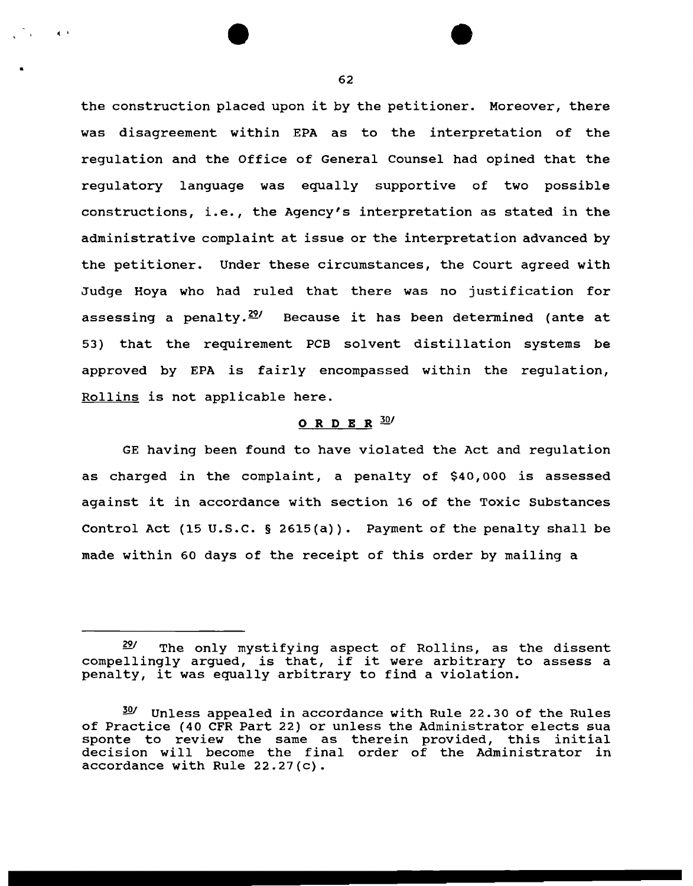the construction placed upon it by the petitioner. Moreover, there was disagreement within EPA as to the interpretation of the regulation and the Office of General Counsel had opined that the regulatory language was equally supportive of two possible constructions, i.e., the Agency's interpretation as stated in the administrative complaint at issue or the interpretation advanced by the petitioner. Under these circumstances, the Court agreed with Judge Hoya who had ruled that there was no justification for assessing a penalty. $\frac{20}{1}$  Because it has been determined (ante at 53) that the requirement PCB solvent distillation systems be approved by EPA is fairly encompassed within the regulation, Rollins is not applicable here.

## ORDER  $30/$

GE having been found to have violated the Act and regulation as charged in the complaint, a penalty of \$40, 000 is assessed against it in accordance with section 16 of the Toxic Substances Control Act (15 u.s.c. § 2615(a)). Payment of the penalty shall be made within 60 days of the receipt of this order by mailing a

•

 $\sim 100$  kpc  $^{-1}$ 

*<sup>291</sup>*The only mystifying aspect of Rollins, as the dissent compellingly argued, is that, if it were arbitrary to assess a penalty, it was equally arbitrary to find a violation.

 $30'$  Unless appealed in accordance with Rule 22.30 of the Rules of Practice (40 CFR Part 22) or unless the Administrator elects sua sponte to review the same as therein provided, this initial decision will become the final order of the Administrator in accordance with Rule 22.27(c).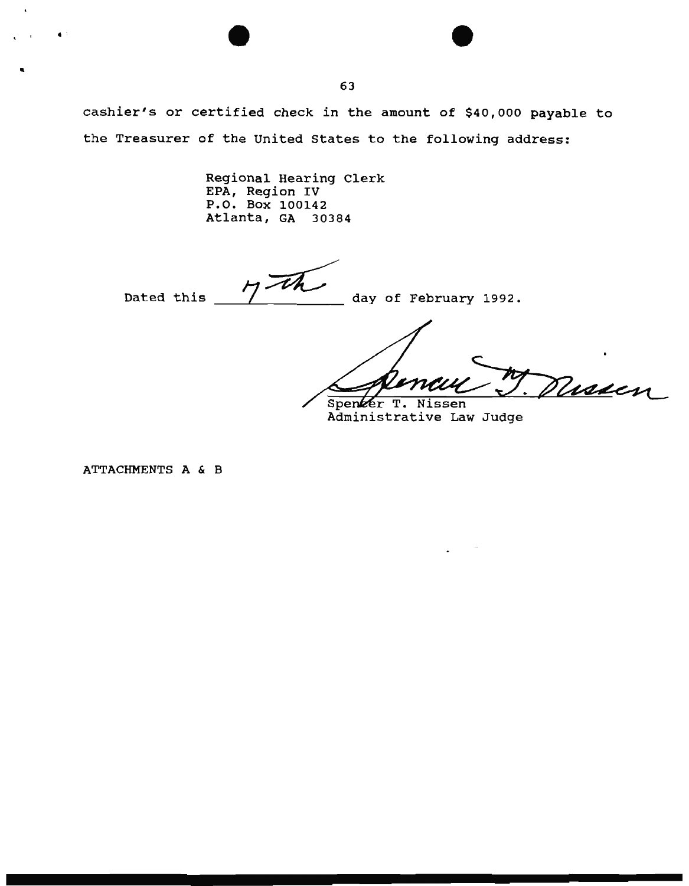cashier's or certified check in the amount of \$40,000 payable to the Treasurer of the United States to the following address:

> Regional Hearing Clerk EPA, Region IV P.O. Box 100142 Atlanta, GA 30384

Dated this  $\frac{1}{4}$  day of February 1992.

Missien Spenzer T. Nissen

Administrative Law Judge

ATTACHMENTS A & B

"

 $\bullet$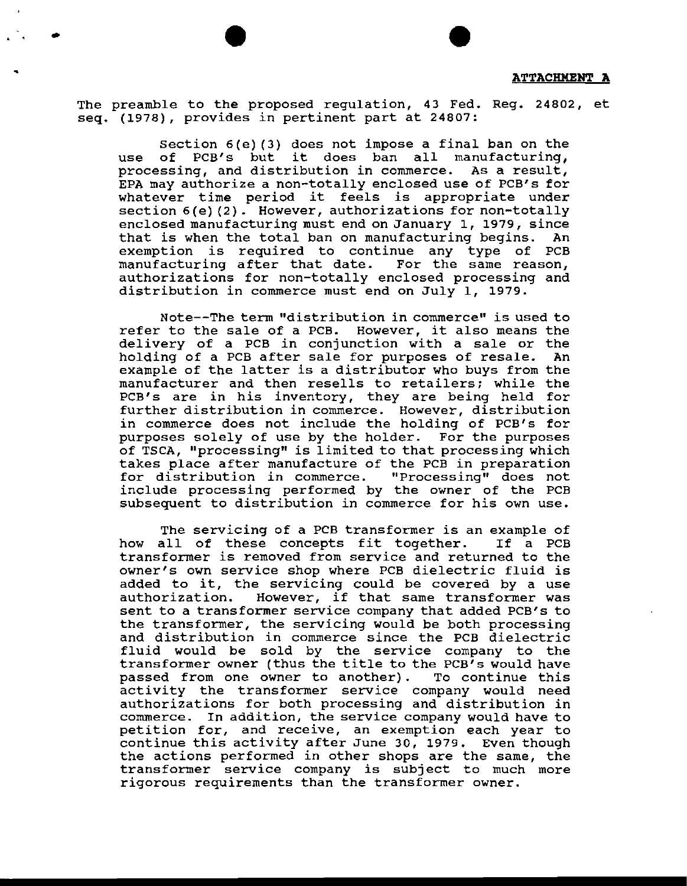The preamble to the proposed regulation, 43 Fed. Reg. 24802, et seq. (1978), provides in pertinent part at 24807:

.  $\mathcal{C} \left( \mathcal{C} \right)$ 

section 6(e) (3) does not impose a final ban on the use of PCB's but it does ban all manufacturing, processing, and distribution in commerce. As a result, EPA may authorize a non-totally enclosed use of PCB's for whatever time period it feels is appropriate under section  $6(e)$  (2). However, authorizations for non-totally enclosed manufacturing must end on January 1, 1979, since that is when the total ban on manufacturing begins. An exemption is required to continue any type of PCB manufacturing after that date. authorizations for non-totally enclosed processing and distribution in commerce must end on July 1, 1979.

Note--The term "distribution in commerce" is used to refer to the sale of a PCB. However, it also means the delivery of a PCB in conjunction with a sale or the holding of a PCB after sale for purposes of resale. An example of the latter is a distributor who buys from the manufacturer and then resells to retailers; while the PCB's are in his inventory, they are being held for further distribution in commerce. However, distribution in commerce does not include the holding of PCB's for purposes solely of use by the holder. For the purposes of TSCA, "processing" is limited to that processing which takes place after manufacture of the PCB in preparation for distribution in commerce. include processing performed by the owner of the PCB subsequent to distribution in commerce for his own use.

The servicing of a PCB transformer is an example of<br>all of these concepts fit together. If a PCB how all of these concepts fit together. transformer is removed from service and returned to the owner's own service shop where PCB dielectric fluid is owner's own service shop where FCB dielectric fiuld is<br>added to it, the servicing could be covered by a use auded to it, the servicing could be covered by a use<br>authorization. However, if that same transformer was sent to a transformer service company that added PCB's to the transformer, the servicing would be both processing and distribution in commerce since the PCB dielectric fluid would be sold by the service company to the transformer owner (thus the title to the PCB's would have<br>passed from one owner to another). To continue this passed from one owner to another). activity the transformer service company would need authorizations for both processing and distribution in commerce. In addition, the service company would have to petition for, and receive, an exemption each year to continue this activity after June 30, 1979. Even though the actions performed in other shops are the same, the transformer service company is subject to much more rigorous requirements than the transformer owner.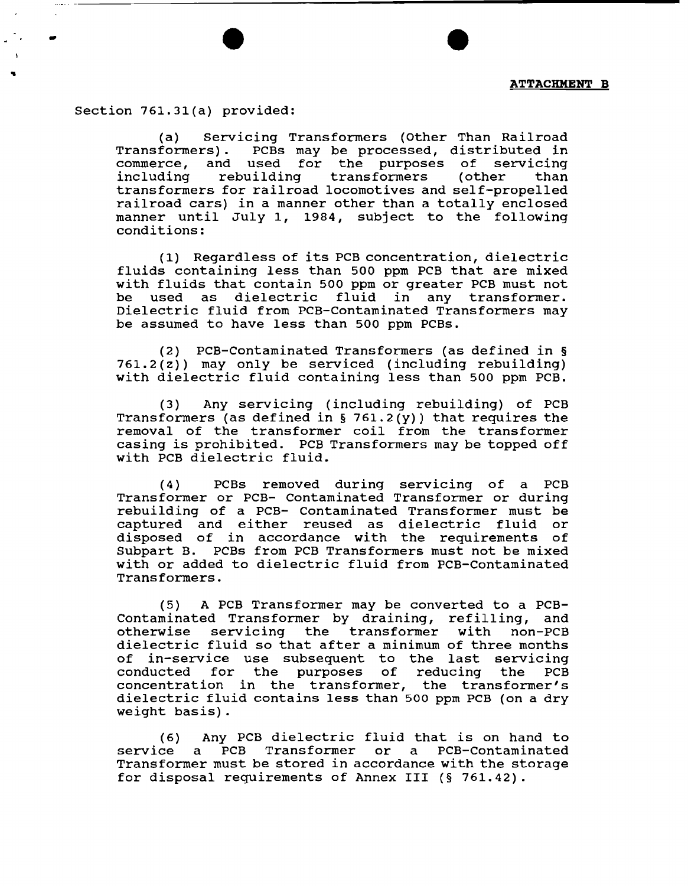Section 761.31(a) provided:

-

(a) Servicing Transformers (Other Than Railroad Transformers). PCBs may be processed, distributed in commerce, and used for the purposes of servicing transformers (other than transformers for railroad locomotives and self-propelled railroad cars) in a manner other than a totally enclosed manner until July 1, 1984, subject to the following conditions:

( 1) Regardless of its PCB concentration, dielectric fluids containing less than 500 ppm PCB that are mixed with fluids that contain 500 ppm or greater PCB must not<br>be used as dielectric fluid in any transformer. used as dielectric fluid in Dielectric fluid from PCB-Contaminated Transformers may be assumed to have less than 500 ppm PCBs.

(2) PCB-Contaminated Transformers (as defined in §  $761.2(z)$ ) may only be serviced (including rebuilding) with dielectric fluid containing less than 500 ppm PCB.

(3) Any servicing (including rebuilding) of PCB Transformers (as defined in § 761.2(y)) that requires the removal of the transformer coil from the transformer casing is prohibited. PCB Transformers may be topped off with PCB dielectric fluid.

(4) PCBs removed during servicing of a PCB Transformer or PCB- Contaminated Transformer or during rebuilding of a PCB- Contaminated Transformer must be captured and either reused as dielectric fluid or disposed of in accordance with the requirements of Subpart B. PCBs from PCB Transformers must not be mixed with or added to dielectric fluid from PCB-Contaminated Transformers.

(5) A PCB Transformer may be converted to a PCB-Contaminated Transformer by draining, refilling, and otherwise servicing the transformer with non-PCB dielectric fluid so that after a minimum of three months of in-service use subsequent to the last servicing conducted for the purposes of reducing the PCB concentration in the transformer, the transformer's dielectric fluid contains less than 500 ppm PCB (on a dry weight basis).

(6) Any PCB dielectric fluid that is on hand to<br>service a PCB Transformer or a PCB-Contaminated a PCB Transformer or a PCB-Contaminated Transformer must be stored in accordance with the storage for disposal requirements of Annex III (§ 761.42).